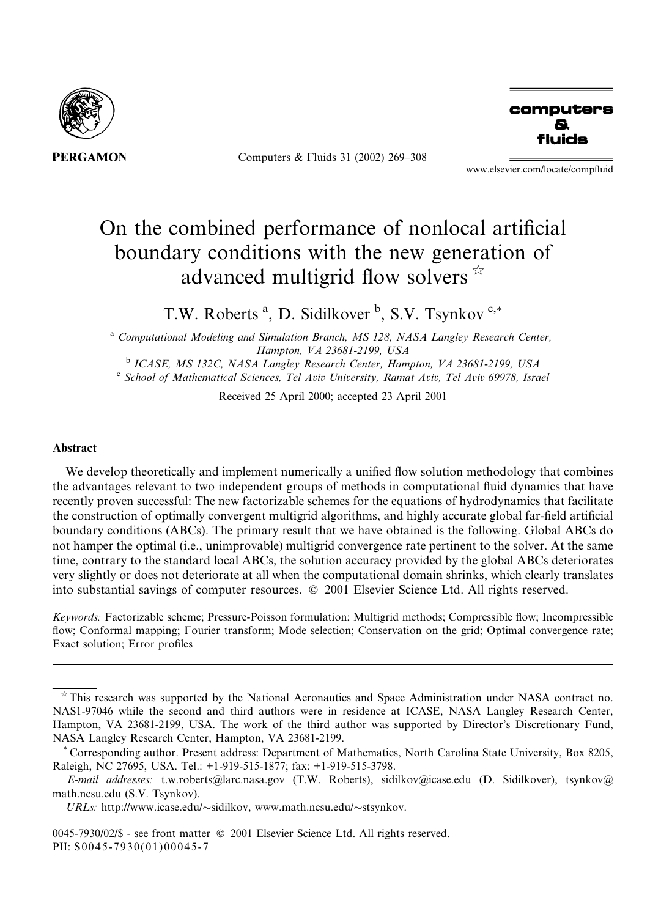

Computers & Fluids 31 (2002) 269-308



www.elsevier.com/locate/compfluid

# On the combined performance of nonlocal artificial boundary conditions with the new generation of advanced multigrid flow solvers  $\mathbb{R}$

T.W. Roberts<sup>a</sup>, D. Sidilkover<sup>b</sup>, S.V. Tsynkov<sup>c,\*</sup>

<sup>a</sup> Computational Modeling and Simulation Branch, MS 128, NASA Langley Research Center, Hampton, VA 23681-2199, USA <sup>b</sup> ICASE, MS 132C, NASA Langley Research Center, Hampton, VA 23681-2199, USA <sup>c</sup> School of Mathematical Sciences, Tel Aviv University, Ramat Aviv, Tel Aviv 69978, Israel

Received 25 April 2000; accepted 23 April 2001

## Abstract

We develop theoretically and implement numerically a unified flow solution methodology that combines the advantages relevant to two independent groups of methods in computational fluid dynamics that have recently proven successful: The new factorizable schemes for the equations of hydrodynamics that facilitate the construction of optimally convergent multigrid algorithms, and highly accurate global far-field artificial boundary conditions (ABCs). The primary result that we have obtained is the following. Global ABCs do not hamper the optimal (i.e., unimprovable) multigrid convergence rate pertinent to the solver. At the same time, contrary to the standard local ABCs, the solution accuracy provided by the global ABCs deteriorates very slightly or does not deteriorate at all when the computational domain shrinks, which clearly translates into substantial savings of computer resources. © 2001 Elsevier Science Ltd. All rights reserved.

Keywords: Factorizable scheme; Pressure-Poisson formulation; Multigrid methods; Compressible flow; Incompressible flow; Conformal mapping; Fourier transform; Mode selection; Conservation on the grid; Optimal convergence rate; Exact solution; Error profiles

0045-7930/02/\$ - see front matter © 2001 Elsevier Science Ltd. All rights reserved. PII: S0045-7930(01)00045-7

 $\star$  This research was supported by the National Aeronautics and Space Administration under NASA contract no. NAS1-97046 while the second and third authors were in residence at ICASE, NASA Langley Research Center, Hampton, VA 23681-2199. USA. The work of the third author was supported by Director's Discretionary Fund. NASA Langley Research Center, Hampton, VA 23681-2199.

Corresponding author. Present address: Department of Mathematics, North Carolina State University, Box 8205, Raleigh, NC 27695, USA. Tel.: +1-919-515-1877; fax: +1-919-515-3798.

E-mail addresses: t.w.roberts@larc.nasa.gov (T.W. Roberts), sidilkov@icase.edu (D. Sidilkover), tsynkov@ math.ncsu.edu (S.V. Tsynkov).

URLs: http://www.icase.edu/ $\sim$ sidilkov, www.math.ncsu.edu/ $\sim$ stsynkov.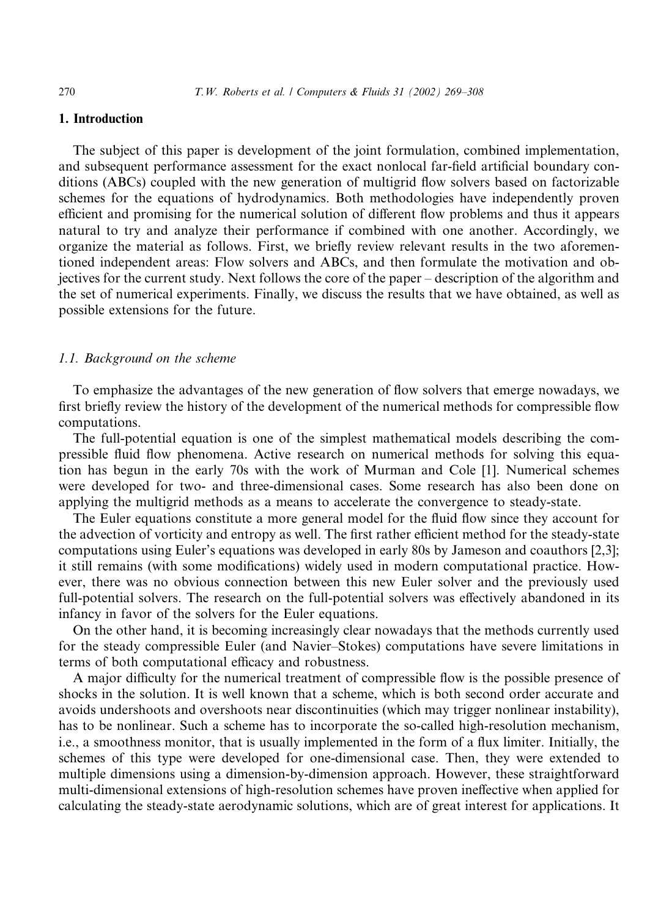#### 1. Introduction

The subject of this paper is development of the joint formulation, combined implementation, and subsequent performance assessment for the exact nonlocal far-field artificial boundary conditions (ABCs) coupled with the new generation of multigrid flow solvers based on factorizable schemes for the equations of hydrodynamics. Both methodologies have independently proven efficient and promising for the numerical solution of different flow problems and thus it appears natural to try and analyze their performance if combined with one another. Accordingly, we organize the material as follows. First, we briefly review relevant results in the two aforementioned independent areas: Flow solvers and ABCs, and then formulate the motivation and objectives for the current study. Next follows the core of the paper – description of the algorithm and the set of numerical experiments. Finally, we discuss the results that we have obtained, as well as possible extensions for the future.

# 1.1. Background on the scheme

To emphasize the advantages of the new generation of flow solvers that emerge nowadays, we first briefly review the history of the development of the numerical methods for compressible flow computations.

The full-potential equation is one of the simplest mathematical models describing the compressible fluid flow phenomena. Active research on numerical methods for solving this equation has begun in the early 70s with the work of Murman and Cole [1]. Numerical schemes were developed for two- and three-dimensional cases. Some research has also been done on applying the multigrid methods as a means to accelerate the convergence to steady-state.

The Euler equations constitute a more general model for the fluid flow since they account for the advection of vorticity and entropy as well. The first rather efficient method for the steady-state computations using Euler's equations was developed in early 80s by Jameson and coauthors [2,3]; it still remains (with some modifications) widely used in modern computational practice. However, there was no obvious connection between this new Euler solver and the previously used full-potential solvers. The research on the full-potential solvers was effectively abandoned in its infancy in favor of the solvers for the Euler equations.

On the other hand, it is becoming increasingly clear nowadays that the methods currently used for the steady compressible Euler (and Navier-Stokes) computations have severe limitations in terms of both computational efficacy and robustness.

A major difficulty for the numerical treatment of compressible flow is the possible presence of shocks in the solution. It is well known that a scheme, which is both second order accurate and avoids undershoots and overshoots near discontinuities (which may trigger nonlinear instability), has to be nonlinear. Such a scheme has to incorporate the so-called high-resolution mechanism, i.e., a smoothness monitor, that is usually implemented in the form of a flux limiter. Initially, the schemes of this type were developed for one-dimensional case. Then, they were extended to multiple dimensions using a dimension-by-dimension approach. However, these straightforward multi-dimensional extensions of high-resolution schemes have proven ineffective when applied for calculating the steady-state aerodynamic solutions, which are of great interest for applications. It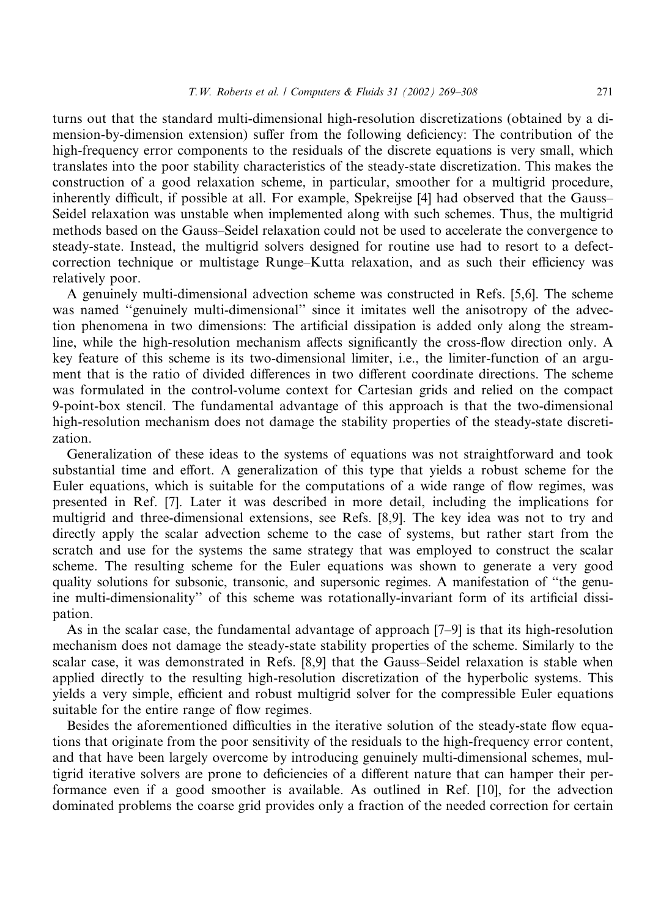turns out that the standard multi-dimensional high-resolution discretizations (obtained by a dimension-by-dimension extension) suffer from the following deficiency: The contribution of the high-frequency error components to the residuals of the discrete equations is very small, which translates into the poor stability characteristics of the steady-state discretization. This makes the construction of a good relaxation scheme, in particular, smoother for a multigrid procedure, inherently difficult, if possible at all. For example, Spekreijse [4] had observed that the Gauss-Seidel relaxation was unstable when implemented along with such schemes. Thus, the multigrid methods based on the Gauss–Seidel relaxation could not be used to accelerate the convergence to steady-state. Instead, the multigrid solvers designed for routine use had to resort to a defectcorrection technique or multistage Runge–Kutta relaxation, and as such their efficiency was relatively poor.

A genuinely multi-dimensional advection scheme was constructed in Refs. [5,6]. The scheme was named "genuinely multi-dimensional" since it imitates well the anisotropy of the advection phenomena in two dimensions: The artificial dissipation is added only along the streamline, while the high-resolution mechanism affects significantly the cross-flow direction only. A key feature of this scheme is its two-dimensional limiter, i.e., the limiter-function of an argument that is the ratio of divided differences in two different coordinate directions. The scheme was formulated in the control-volume context for Cartesian grids and relied on the compact 9-point-box stencil. The fundamental advantage of this approach is that the two-dimensional high-resolution mechanism does not damage the stability properties of the steady-state discretization.

Generalization of these ideas to the systems of equations was not straightforward and took substantial time and effort. A generalization of this type that yields a robust scheme for the Euler equations, which is suitable for the computations of a wide range of flow regimes, was presented in Ref. [7]. Later it was described in more detail, including the implications for multigrid and three-dimensional extensions, see Refs. [8,9]. The key idea was not to try and directly apply the scalar advection scheme to the case of systems, but rather start from the scratch and use for the systems the same strategy that was employed to construct the scalar scheme. The resulting scheme for the Euler equations was shown to generate a very good quality solutions for subsonic, transonic, and supersonic regimes. A manifestation of "the genuine multi-dimensionality" of this scheme was rotationally-invariant form of its artificial dissipation.

As in the scalar case, the fundamental advantage of approach [7–9] is that its high-resolution mechanism does not damage the steady-state stability properties of the scheme. Similarly to the scalar case, it was demonstrated in Refs. [8,9] that the Gauss-Seidel relaxation is stable when applied directly to the resulting high-resolution discretization of the hyperbolic systems. This yields a very simple, efficient and robust multigrid solver for the compressible Euler equations suitable for the entire range of flow regimes.

Besides the aforementioned difficulties in the iterative solution of the steady-state flow equations that originate from the poor sensitivity of the residuals to the high-frequency error content, and that have been largely overcome by introducing genuinely multi-dimensional schemes, multigrid iterative solvers are prone to deficiencies of a different nature that can hamper their performance even if a good smoother is available. As outlined in Ref. [10], for the advection dominated problems the coarse grid provides only a fraction of the needed correction for certain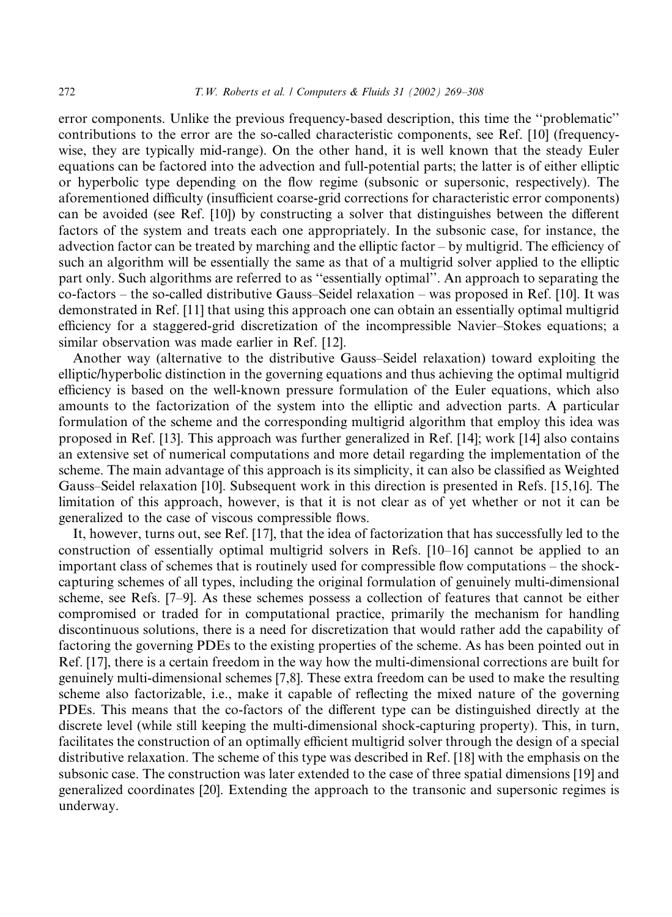error components. Unlike the previous frequency-based description, this time the "problematic" contributions to the error are the so-called characteristic components, see Ref. [10] (frequencywise, they are typically mid-range). On the other hand, it is well known that the steady Euler equations can be factored into the advection and full-potential parts; the latter is of either elliptic or hyperbolic type depending on the flow regime (subsonic or supersonic, respectively). The aforementioned difficulty (insufficient coarse-grid corrections for characteristic error components) can be avoided (see Ref. [10]) by constructing a solver that distinguishes between the different factors of the system and treats each one appropriately. In the subsonic case, for instance, the advection factor can be treated by marching and the elliptic factor - by multigrid. The efficiency of such an algorithm will be essentially the same as that of a multigrid solver applied to the elliptic part only. Such algorithms are referred to as "essentially optimal". An approach to separating the co-factors – the so-called distributive Gauss–Seidel relaxation – was proposed in Ref. [10]. It was demonstrated in Ref. [11] that using this approach one can obtain an essentially optimal multigrid efficiency for a staggered-grid discretization of the incompressible Navier-Stokes equations; a similar observation was made earlier in Ref. [12].

Another way (alternative to the distributive Gauss–Seidel relaxation) toward exploiting the elliptic/hyperbolic distinction in the governing equations and thus achieving the optimal multigrid efficiency is based on the well-known pressure formulation of the Euler equations, which also amounts to the factorization of the system into the elliptic and advection parts. A particular formulation of the scheme and the corresponding multigrid algorithm that employ this idea was proposed in Ref. [13]. This approach was further generalized in Ref. [14]; work [14] also contains an extensive set of numerical computations and more detail regarding the implementation of the scheme. The main advantage of this approach is its simplicity, it can also be classified as Weighted Gauss–Seidel relaxation [10]. Subsequent work in this direction is presented in Refs. [15,16]. The limitation of this approach, however, is that it is not clear as of yet whether or not it can be generalized to the case of viscous compressible flows.

It, however, turns out, see Ref. [17], that the idea of factorization that has successfully led to the construction of essentially optimal multigrid solvers in Refs. [10–16] cannot be applied to an important class of schemes that is routinely used for compressible flow computations – the shockcapturing schemes of all types, including the original formulation of genuinely multi-dimensional scheme, see Refs. [7–9]. As these schemes possess a collection of features that cannot be either compromised or traded for in computational practice, primarily the mechanism for handling discontinuous solutions, there is a need for discretization that would rather add the capability of factoring the governing PDEs to the existing properties of the scheme. As has been pointed out in Ref. [17], there is a certain freedom in the way how the multi-dimensional corrections are built for genuinely multi-dimensional schemes [7,8]. These extra freedom can be used to make the resulting scheme also factorizable, i.e., make it capable of reflecting the mixed nature of the governing PDEs. This means that the co-factors of the different type can be distinguished directly at the discrete level (while still keeping the multi-dimensional shock-capturing property). This, in turn, facilitates the construction of an optimally efficient multigrid solver through the design of a special distributive relaxation. The scheme of this type was described in Ref. [18] with the emphasis on the subsonic case. The construction was later extended to the case of three spatial dimensions [19] and generalized coordinates [20]. Extending the approach to the transonic and supersonic regimes is underway.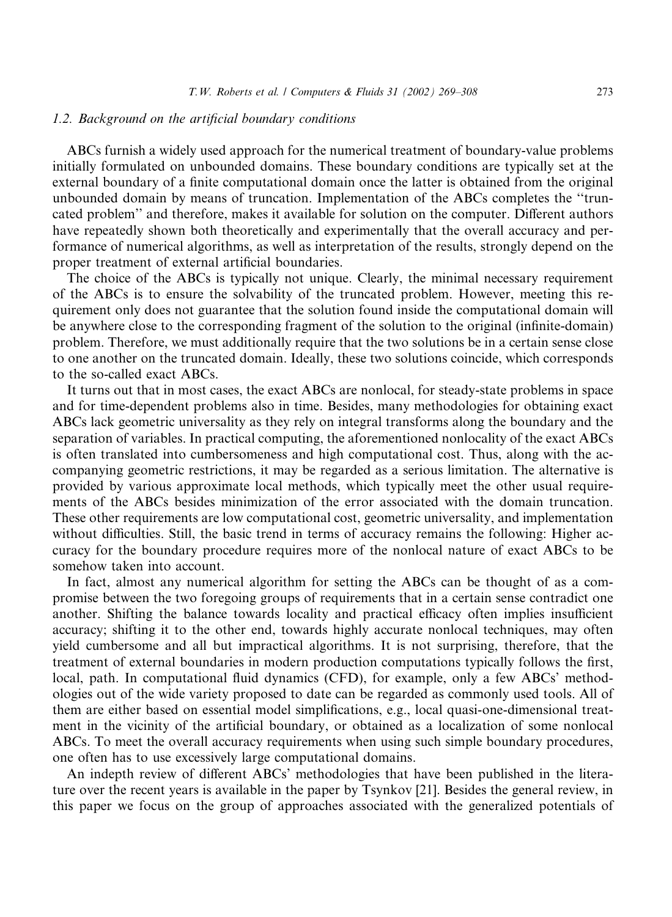# 1.2. Background on the artificial boundary conditions

ABCs furnish a widely used approach for the numerical treatment of boundary-value problems initially formulated on unbounded domains. These boundary conditions are typically set at the external boundary of a finite computational domain once the latter is obtained from the original unbounded domain by means of truncation. Implementation of the ABCs completes the "truncated problem" and therefore, makes it available for solution on the computer. Different authors have repeatedly shown both theoretically and experimentally that the overall accuracy and performance of numerical algorithms, as well as interpretation of the results, strongly depend on the proper treatment of external artificial boundaries.

The choice of the ABCs is typically not unique. Clearly, the minimal necessary requirement of the ABCs is to ensure the solvability of the truncated problem. However, meeting this requirement only does not guarantee that the solution found inside the computational domain will be anywhere close to the corresponding fragment of the solution to the original (infinite-domain) problem. Therefore, we must additionally require that the two solutions be in a certain sense close to one another on the truncated domain. Ideally, these two solutions coincide, which corresponds to the so-called exact ABCs

It turns out that in most cases, the exact ABCs are nonlocal, for steady-state problems in space and for time-dependent problems also in time. Besides, many methodologies for obtaining exact ABCs lack geometric universality as they rely on integral transforms along the boundary and the separation of variables. In practical computing, the aforementioned nonlocality of the exact ABCs is often translated into cumbersomeness and high computational cost. Thus, along with the accompanying geometric restrictions, it may be regarded as a serious limitation. The alternative is provided by various approximate local methods, which typically meet the other usual requirements of the ABCs besides minimization of the error associated with the domain truncation. These other requirements are low computational cost, geometric universality, and implementation without difficulties. Still, the basic trend in terms of accuracy remains the following: Higher accuracy for the boundary procedure requires more of the nonlocal nature of exact ABCs to be somehow taken into account.

In fact, almost any numerical algorithm for setting the ABCs can be thought of as a compromise between the two foregoing groups of requirements that in a certain sense contradict one another. Shifting the balance towards locality and practical efficacy often implies insufficient accuracy; shifting it to the other end, towards highly accurate nonlocal techniques, may often yield cumbersome and all but impractical algorithms. It is not surprising, therefore, that the treatment of external boundaries in modern production computations typically follows the first, local, path. In computational fluid dynamics (CFD), for example, only a few ABCs' methodologies out of the wide variety proposed to date can be regarded as commonly used tools. All of them are either based on essential model simplifications, e.g., local quasi-one-dimensional treatment in the vicinity of the artificial boundary, or obtained as a localization of some nonlocal ABCs. To meet the overall accuracy requirements when using such simple boundary procedures, one often has to use excessively large computational domains.

An indepth review of different ABCs' methodologies that have been published in the literature over the recent years is available in the paper by Tsynkov [21]. Besides the general review, in this paper we focus on the group of approaches associated with the generalized potentials of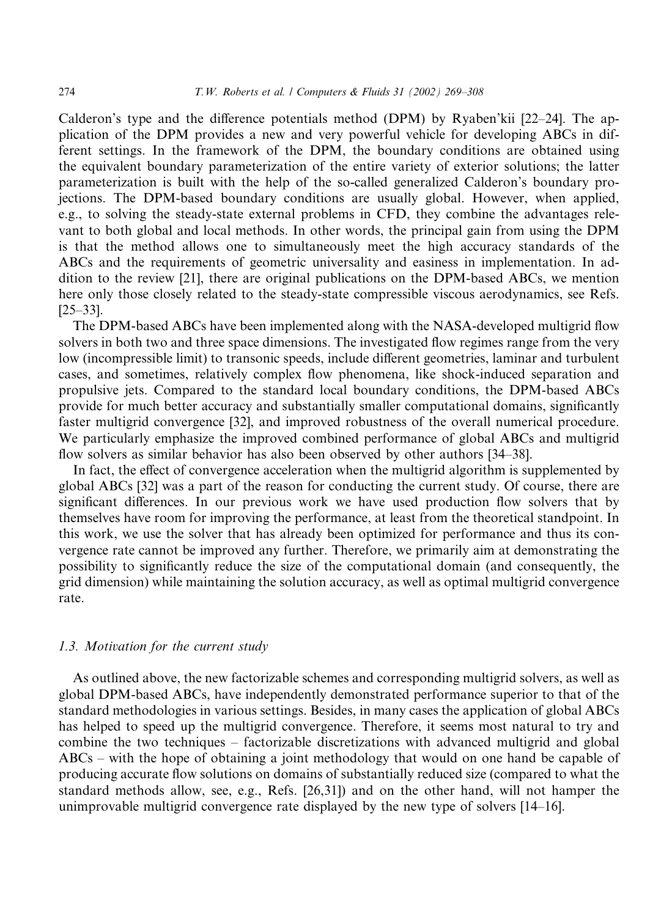Calderon's type and the difference potentials method (DPM) by Ryaben'kii [22–24]. The application of the DPM provides a new and very powerful vehicle for developing ABCs in different settings. In the framework of the DPM, the boundary conditions are obtained using the equivalent boundary parameterization of the entire variety of exterior solutions; the latter parameterization is built with the help of the so-called generalized Calderon's boundary projections. The DPM-based boundary conditions are usually global. However, when applied, e.g., to solving the steady-state external problems in CFD, they combine the advantages relevant to both global and local methods. In other words, the principal gain from using the DPM is that the method allows one to simultaneously meet the high accuracy standards of the ABCs and the requirements of geometric universality and easiness in implementation. In addition to the review [21], there are original publications on the DPM-based ABCs, we mention here only those closely related to the steady-state compressible viscous aerodynamics, see Refs.  $[25-33]$ .

The DPM-based ABCs have been implemented along with the NASA-developed multigrid flow solvers in both two and three space dimensions. The investigated flow regimes range from the very low (incompressible limit) to transonic speeds, include different geometries, laminar and turbulent cases, and sometimes, relatively complex flow phenomena, like shock-induced separation and propulsive jets. Compared to the standard local boundary conditions, the DPM-based ABCs provide for much better accuracy and substantially smaller computational domains, significantly faster multigrid convergence [32], and improved robustness of the overall numerical procedure. We particularly emphasize the improved combined performance of global ABCs and multigrid flow solvers as similar behavior has also been observed by other authors [34–38].

In fact, the effect of convergence acceleration when the multigrid algorithm is supplemented by global ABCs [32] was a part of the reason for conducting the current study. Of course, there are significant differences. In our previous work we have used production flow solvers that by themselves have room for improving the performance, at least from the theoretical standpoint. In this work, we use the solver that has already been optimized for performance and thus its convergence rate cannot be improved any further. Therefore, we primarily aim at demonstrating the possibility to significantly reduce the size of the computational domain (and consequently, the grid dimension) while maintaining the solution accuracy, as well as optimal multigrid convergence rate.

# 1.3. Motivation for the current study

As outlined above, the new factorizable schemes and corresponding multigrid solvers, as well as global DPM-based ABCs, have independently demonstrated performance superior to that of the standard methodologies in various settings. Besides, in many cases the application of global ABCs has helped to speed up the multigrid convergence. Therefore, it seems most natural to try and combine the two techniques – factorizable discretizations with advanced multigrid and global  $ABC_s$  – with the hope of obtaining a joint methodology that would on one hand be capable of producing accurate flow solutions on domains of substantially reduced size (compared to what the standard methods allow, see, e.g., Refs. [26,31]) and on the other hand, will not hamper the unimprovable multigrid convergence rate displayed by the new type of solvers [14–16].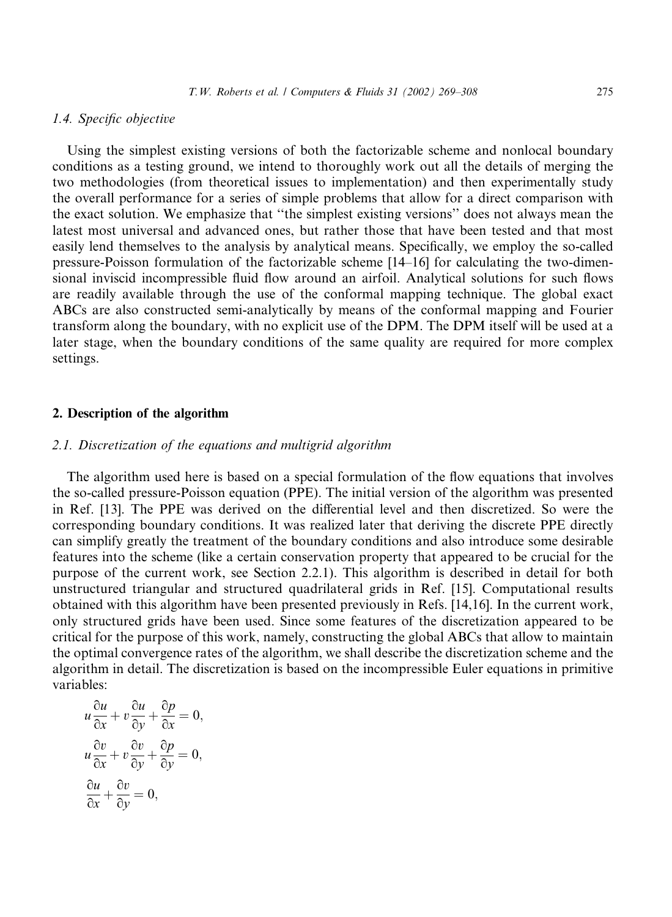#### 1.4. Specific objective

Using the simplest existing versions of both the factorizable scheme and nonlocal boundary conditions as a testing ground, we intend to thoroughly work out all the details of merging the two methodologies (from theoretical issues to implementation) and then experimentally study the overall performance for a series of simple problems that allow for a direct comparison with the exact solution. We emphasize that "the simplest existing versions" does not always mean the latest most universal and advanced ones, but rather those that have been tested and that most easily lend themselves to the analysis by analytical means. Specifically, we employ the so-called pressure-Poisson formulation of the factorizable scheme [14–16] for calculating the two-dimensional inviscid incompressible fluid flow around an airfoil. Analytical solutions for such flows are readily available through the use of the conformal mapping technique. The global exact ABCs are also constructed semi-analytically by means of the conformal mapping and Fourier transform along the boundary, with no explicit use of the DPM. The DPM itself will be used at a later stage, when the boundary conditions of the same quality are required for more complex settings.

#### 2. Description of the algorithm

# 2.1. Discretization of the equations and multigrid algorithm

The algorithm used here is based on a special formulation of the flow equations that involves the so-called pressure-Poisson equation (PPE). The initial version of the algorithm was presented in Ref. [13]. The PPE was derived on the differential level and then discretized. So were the corresponding boundary conditions. It was realized later that deriving the discrete PPE directly can simplify greatly the treatment of the boundary conditions and also introduce some desirable features into the scheme (like a certain conservation property that appeared to be crucial for the purpose of the current work, see Section 2.2.1). This algorithm is described in detail for both unstructured triangular and structured quadrilateral grids in Ref. [15]. Computational results obtained with this algorithm have been presented previously in Refs. [14,16]. In the current work, only structured grids have been used. Since some features of the discretization appeared to be critical for the purpose of this work, namely, constructing the global ABCs that allow to maintain the optimal convergence rates of the algorithm, we shall describe the discretization scheme and the algorithm in detail. The discretization is based on the incompressible Euler equations in primitive variables:

$$
u\frac{\partial u}{\partial x} + v\frac{\partial u}{\partial y} + \frac{\partial p}{\partial x} = 0,
$$
  

$$
u\frac{\partial v}{\partial x} + v\frac{\partial v}{\partial y} + \frac{\partial p}{\partial y} = 0,
$$
  

$$
\frac{\partial u}{\partial x} + \frac{\partial v}{\partial y} = 0,
$$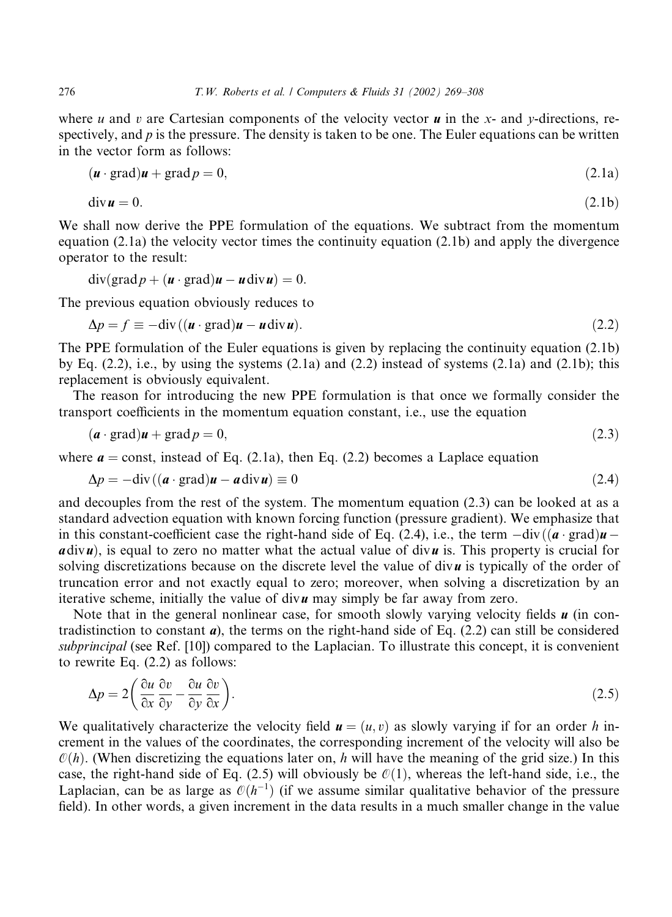where u and v are Cartesian components of the velocity vector u in the x- and y-directions, respectively, and  $p$  is the pressure. The density is taken to be one. The Euler equations can be written in the vector form as follows:

$$
(\mathbf{u} \cdot \text{grad})\mathbf{u} + \text{grad} \, p = 0,\tag{2.1a}
$$

$$
\operatorname{div} \boldsymbol{u} = 0. \tag{2.1b}
$$

We shall now derive the PPE formulation of the equations. We subtract from the momentum equation  $(2.1a)$  the velocity vector times the continuity equation  $(2.1b)$  and apply the divergence operator to the result:

$$
\operatorname{div}(\operatorname{grad} p + (\mathbf{u} \cdot \operatorname{grad})\mathbf{u} - \mathbf{u} \operatorname{div} \mathbf{u}) = 0.
$$

The previous equation obviously reduces to

$$
\Delta p = f \equiv -\text{div}\left((\mathbf{u} \cdot \text{grad})\mathbf{u} - \mathbf{u} \text{div}\,\mathbf{u}\right). \tag{2.2}
$$

The PPE formulation of the Euler equations is given by replacing the continuity equation (2.1b) by Eq.  $(2.2)$ , i.e., by using the systems  $(2.1a)$  and  $(2.2)$  instead of systems  $(2.1a)$  and  $(2.1b)$ ; this replacement is obviously equivalent.

The reason for introducing the new PPE formulation is that once we formally consider the transport coefficients in the momentum equation constant, i.e., use the equation

$$
(\mathbf{a} \cdot \text{grad})\mathbf{u} + \text{grad} \, p = 0,\tag{2.3}
$$

where  $a =$  const, instead of Eq. (2.1a), then Eq. (2.2) becomes a Laplace equation

$$
\Delta p = -\text{div}\left((\mathbf{a} \cdot \text{grad})\mathbf{u} - \mathbf{a} \,\text{div}\,\mathbf{u}\right) \equiv 0\tag{2.4}
$$

and decouples from the rest of the system. The momentum equation  $(2.3)$  can be looked at as a standard advection equation with known forcing function (pressure gradient). We emphasize that in this constant-coefficient case the right-hand side of Eq. (2.4), i.e., the term  $-\text{div}((a \cdot \text{grad})u$  $a \text{div } u$ , is equal to zero no matter what the actual value of div $u$  is. This property is crucial for solving discretizations because on the discrete level the value of div $\bf{u}$  is typically of the order of truncation error and not exactly equal to zero; moreover, when solving a discretization by an iterative scheme, initially the value of  $div\mathbf{u}$  may simply be far away from zero.

Note that in the general nonlinear case, for smooth slowly varying velocity fields  $\boldsymbol{u}$  (in contradistinction to constant  $a$ ), the terms on the right-hand side of Eq. (2.2) can still be considered *subprincipal* (see Ref. [10]) compared to the Laplacian. To illustrate this concept, it is convenient to rewrite Eq.  $(2.2)$  as follows:

$$
\Delta p = 2 \left( \frac{\partial u}{\partial x} \frac{\partial v}{\partial y} - \frac{\partial u}{\partial y} \frac{\partial v}{\partial x} \right).
$$
\n(2.5)

We qualitatively characterize the velocity field  $\mathbf{u} = (u, v)$  as slowly varying if for an order h increment in the values of the coordinates, the corresponding increment of the velocity will also be  $\mathcal{O}(h)$ . (When discretizing the equations later on, h will have the meaning of the grid size.) In this case, the right-hand side of Eq. (2.5) will obviously be  $\mathcal{O}(1)$ , whereas the left-hand side, i.e., the Laplacian, can be as large as  $\mathcal{O}(h^{-1})$  (if we assume similar qualitative behavior of the pressure field). In other words, a given increment in the data results in a much smaller change in the value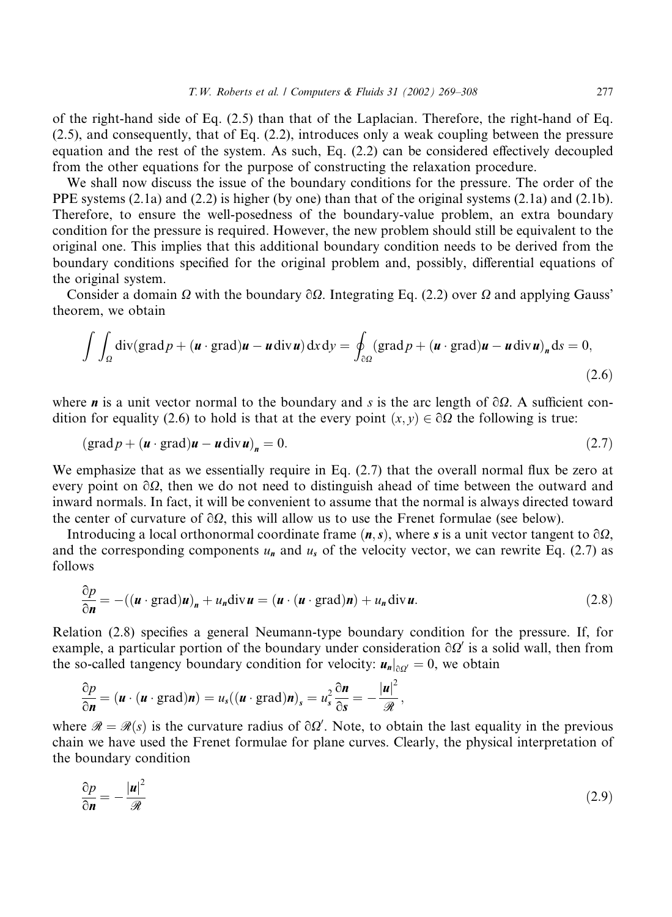of the right-hand side of Eq.  $(2.5)$  than that of the Laplacian. Therefore, the right-hand of Eq.  $(2.5)$ , and consequently, that of Eq.  $(2.2)$ , introduces only a weak coupling between the pressure equation and the rest of the system. As such, Eq. (2.2) can be considered effectively decoupled from the other equations for the purpose of constructing the relaxation procedure.

We shall now discuss the issue of the boundary conditions for the pressure. The order of the PPE systems  $(2.1a)$  and  $(2.2)$  is higher (by one) than that of the original systems  $(2.1a)$  and  $(2.1b)$ . Therefore, to ensure the well-posedness of the boundary-value problem, an extra boundary condition for the pressure is required. However, the new problem should still be equivalent to the original one. This implies that this additional boundary condition needs to be derived from the boundary conditions specified for the original problem and, possibly, differential equations of the original system.

Consider a domain  $\Omega$  with the boundary  $\partial \Omega$ . Integrating Eq. (2.2) over  $\Omega$  and applying Gauss' theorem, we obtain

$$
\int \int_{\Omega} \text{div}(\text{grad} \, p + (\boldsymbol{u} \cdot \text{grad}) \boldsymbol{u} - \boldsymbol{u} \, \text{div} \, \boldsymbol{u}) \, \text{dx} \, \text{dy} = \oint_{\partial \Omega} (\text{grad} \, p + (\boldsymbol{u} \cdot \text{grad}) \boldsymbol{u} - \boldsymbol{u} \, \text{div} \, \boldsymbol{u})_{n} \, \text{dx} = 0,
$$
\n(2.6)

where *n* is a unit vector normal to the boundary and *s* is the arc length of  $\partial \Omega$ . A sufficient condition for equality (2.6) to hold is that at the every point  $(x, y) \in \partial\Omega$  the following is true:

$$
(\text{grad } p + (\mathbf{u} \cdot \text{grad})\mathbf{u} - \mathbf{u} \text{div} \mathbf{u})_{\mathbf{n}} = 0. \tag{2.7}
$$

We emphasize that as we essentially require in Eq.  $(2.7)$  that the overall normal flux be zero at every point on  $\partial\Omega$ , then we do not need to distinguish ahead of time between the outward and inward normals. In fact, it will be convenient to assume that the normal is always directed toward the center of curvature of  $\partial \Omega$ , this will allow us to use the Frenet formulae (see below).

Introducing a local orthonormal coordinate frame  $(n, s)$ , where s is a unit vector tangent to  $\partial \Omega$ , and the corresponding components  $u_n$  and  $u_s$  of the velocity vector, we can rewrite Eq. (2.7) as follows

$$
\frac{\partial p}{\partial n} = -((\boldsymbol{u} \cdot \text{grad})\boldsymbol{u})_n + u_n \text{div}\,\boldsymbol{u} = (\boldsymbol{u} \cdot (\boldsymbol{u} \cdot \text{grad})\boldsymbol{n}) + u_n \text{div}\,\boldsymbol{u}.\tag{2.8}
$$

Relation (2.8) specifies a general Neumann-type boundary condition for the pressure. If, for example, a particular portion of the boundary under consideration  $\partial \Omega'$  is a solid wall, then from the so-called tangency boundary condition for velocity:  $u_n|_{\partial O'} = 0$ , we obtain

$$
\frac{\partial p}{\partial n} = (u \cdot (u \cdot \text{grad})n) = u_s((u \cdot \text{grad})n)_s = u_s^2 \frac{\partial n}{\partial s} = -\frac{|u|^2}{R},
$$

where  $\mathcal{R} = \mathcal{R}(s)$  is the curvature radius of  $\partial \Omega'$ . Note, to obtain the last equality in the previous chain we have used the Frenet formulae for plane curves. Clearly, the physical interpretation of the boundary condition

$$
\frac{\partial p}{\partial \mathbf{n}} = -\frac{|\mathbf{u}|^2}{\mathcal{R}}
$$
(2.9)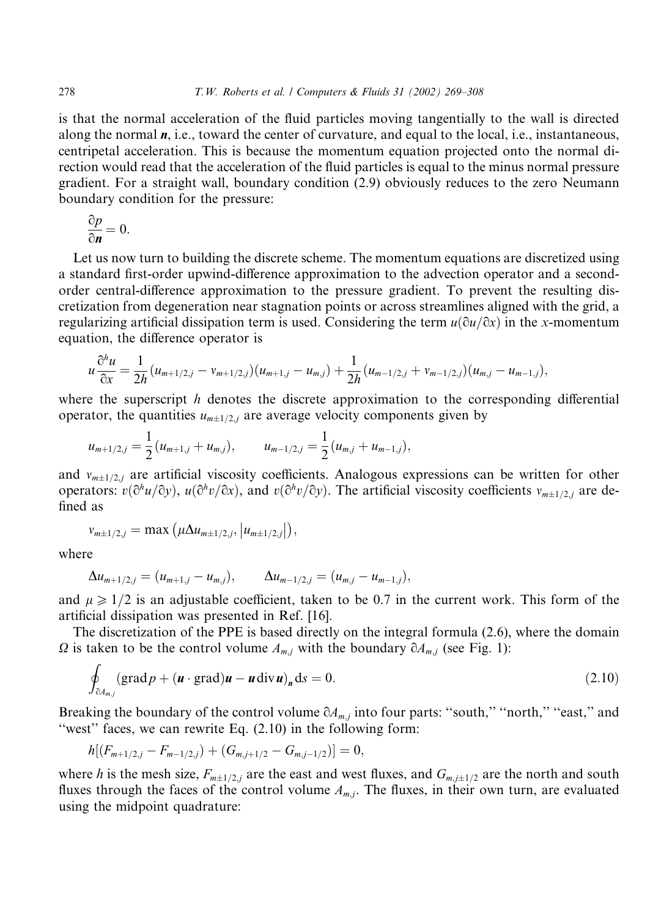is that the normal acceleration of the fluid particles moving tangentially to the wall is directed along the normal  $\boldsymbol{n}$ , i.e., toward the center of curvature, and equal to the local, i.e., instantaneous, centripetal acceleration. This is because the momentum equation projected onto the normal direction would read that the acceleration of the fluid particles is equal to the minus normal pressure gradient. For a straight wall, boundary condition (2.9) obviously reduces to the zero Neumann boundary condition for the pressure:

$$
\frac{\partial p}{\partial n} = 0.
$$

Let us now turn to building the discrete scheme. The momentum equations are discretized using a standard first-order upwind-difference approximation to the advection operator and a secondorder central-difference approximation to the pressure gradient. To prevent the resulting discretization from degeneration near stagnation points or across streamlines aligned with the grid, a regularizing artificial dissipation term is used. Considering the term  $u(\partial u/\partial x)$  in the x-momentum equation, the difference operator is

$$
u\frac{\partial^h u}{\partial x} = \frac{1}{2h}(u_{m+1/2,j} - v_{m+1/2,j})(u_{m+1,j} - u_{m,j}) + \frac{1}{2h}(u_{m-1/2,j} + v_{m-1/2,j})(u_{m,j} - u_{m-1,j}),
$$

where the superscript  $h$  denotes the discrete approximation to the corresponding differential operator, the quantities  $u_{m\pm 1/2,j}$  are average velocity components given by

$$
u_{m+1/2,j} = \frac{1}{2} (u_{m+1,j} + u_{m,j}), \qquad u_{m-1/2,j} = \frac{1}{2} (u_{m,j} + u_{m-1,j}),
$$

and  $v_{m\pm 1/2,j}$  are artificial viscosity coefficients. Analogous expressions can be written for other operators:  $v(\partial^h u/\partial y)$ ,  $u(\partial^h v/\partial x)$ , and  $v(\partial^h v/\partial y)$ . The artificial viscosity coefficients  $v_{m\pm 1/2,j}$  are defined as

$$
v_{m\pm 1/2,j} = \max(\mu \Delta u_{m\pm 1/2,j}, |u_{m\pm 1/2,j}|),
$$

where

$$
\Delta u_{m+1/2,j} = (u_{m+1,j} - u_{m,j}), \qquad \Delta u_{m-1/2,j} = (u_{m,j} - u_{m-1,j}),
$$

and  $\mu \ge 1/2$  is an adjustable coefficient, taken to be 0.7 in the current work. This form of the artificial dissipation was presented in Ref. [16].

The discretization of the PPE is based directly on the integral formula (2.6), where the domain  $\Omega$  is taken to be the control volume  $A_{m,j}$  with the boundary  $\partial A_{m,j}$  (see Fig. 1):

$$
\oint_{\partial A_{m,j}} (\text{grad } p + (\boldsymbol{u} \cdot \text{grad})\boldsymbol{u} - \boldsymbol{u} \, \text{div} \, \boldsymbol{u})_n \, \text{d}s = 0. \tag{2.10}
$$

Breaking the boundary of the control volume  $\partial A_{m,i}$  into four parts: "south," "north," "east," and "west" faces, we can rewrite Eq. (2.10) in the following form:

$$
h[(F_{m+1/2,j}-F_{m-1/2,j})+(G_{m,j+1/2}-G_{m,j-1/2})]=0,
$$

where h is the mesh size,  $F_{m\pm 1/2,i}$  are the east and west fluxes, and  $G_{m,i\pm 1/2}$  are the north and south fluxes through the faces of the control volume  $A_{m,j}$ . The fluxes, in their own turn, are evaluated using the midpoint quadrature: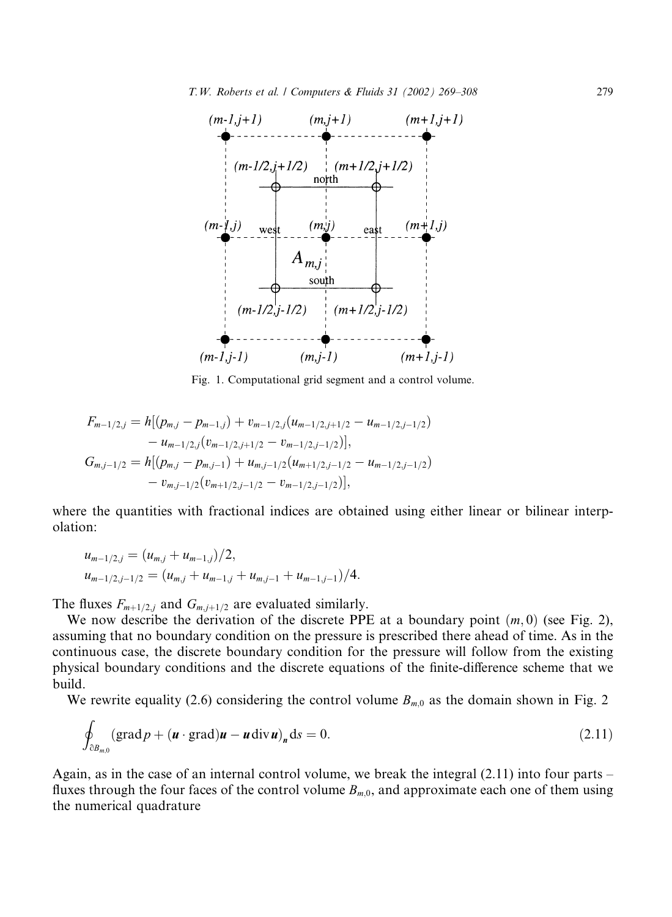

Fig. 1. Computational grid segment and a control volume.

$$
F_{m-1/2,j} = h[(p_{m,j} - p_{m-1,j}) + v_{m-1/2,j}(u_{m-1/2,j+1/2} - u_{m-1/2,j-1/2})
$$
  
\n
$$
- u_{m-1/2,j}(v_{m-1/2,j+1/2} - v_{m-1/2,j-1/2})],
$$
  
\n
$$
G_{m,j-1/2} = h[(p_{m,j} - p_{m,j-1}) + u_{m,j-1/2}(u_{m+1/2,j-1/2} - u_{m-1/2,j-1/2})]
$$
  
\n
$$
- v_{m,j-1/2}(v_{m+1/2,j-1/2} - v_{m-1/2,j-1/2})],
$$

where the quantities with fractional indices are obtained using either linear or bilinear interpolation:

$$
u_{m-1/2,j} = (u_{m,j} + u_{m-1,j})/2,
$$
  
\n
$$
u_{m-1/2,j-1/2} = (u_{m,j} + u_{m-1,j} + u_{m,j-1} + u_{m-1,j-1})/4.
$$

The fluxes  $F_{m+1/2,j}$  and  $G_{m,j+1/2}$  are evaluated similarly.

We now describe the derivation of the discrete PPE at a boundary point  $(m, 0)$  (see Fig. 2), assuming that no boundary condition on the pressure is prescribed there ahead of time. As in the continuous case, the discrete boundary condition for the pressure will follow from the existing physical boundary conditions and the discrete equations of the finite-difference scheme that we build.

We rewrite equality (2.6) considering the control volume  $B_{m,0}$  as the domain shown in Fig. 2

$$
\oint_{\partial B_{m,0}} (\text{grad } p + (\boldsymbol{u} \cdot \text{grad})\boldsymbol{u} - \boldsymbol{u} \text{div}\boldsymbol{u})_n \text{d}s = 0.
$$
\n(2.11)

Again, as in the case of an internal control volume, we break the integral  $(2.11)$  into four parts – fluxes through the four faces of the control volume  $B_{m,0}$ , and approximate each one of them using the numerical quadrature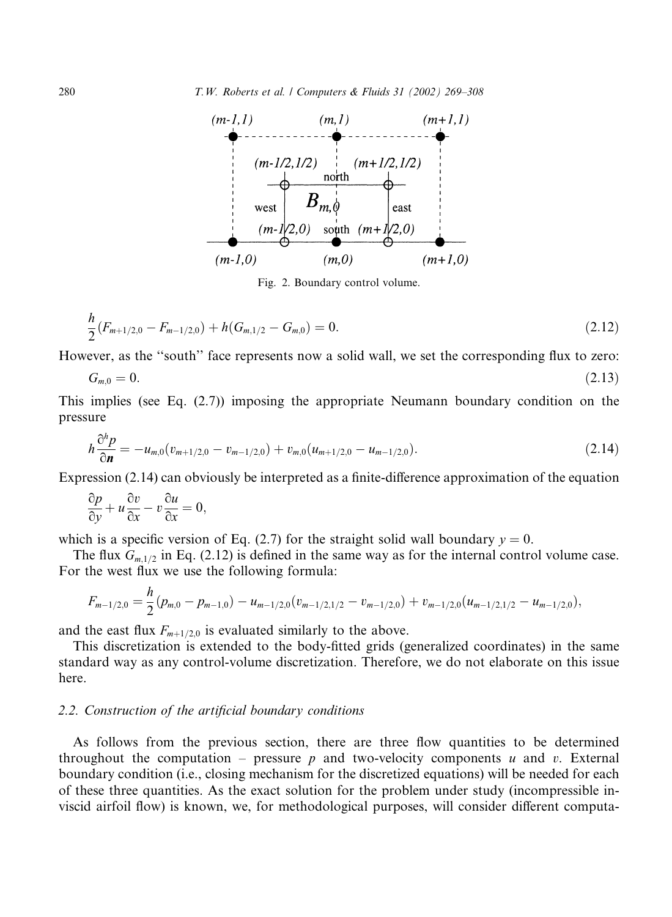T.W. Roberts et al. / Computers & Fluids 31 (2002) 269-308



Fig. 2. Boundary control volume.

$$
\frac{h}{2}(F_{m+1/2,0}-F_{m-1/2,0})+h(G_{m,1/2}-G_{m,0})=0.
$$
\n(2.12)

However, as the "south" face represents now a solid wall, we set the corresponding flux to zero:

$$
G_{m,0} = 0. \t\t(2.13)
$$

This implies (see Eq.  $(2.7)$ ) imposing the appropriate Neumann boundary condition on the pressure

$$
h\frac{\partial^h p}{\partial \mathbf{n}} = -u_{m,0}(v_{m+1/2,0} - v_{m-1/2,0}) + v_{m,0}(u_{m+1/2,0} - u_{m-1/2,0}). \tag{2.14}
$$

Expression (2.14) can obviously be interpreted as a finite-difference approximation of the equation

$$
\frac{\partial p}{\partial y} + u \frac{\partial v}{\partial x} - v \frac{\partial u}{\partial x} = 0,
$$

which is a specific version of Eq. (2.7) for the straight solid wall boundary  $y = 0$ .

The flux  $G_{m,1/2}$  in Eq. (2.12) is defined in the same way as for the internal control volume case. For the west flux we use the following formula:

$$
F_{m-1/2,0}=\frac{h}{2}(p_{m,0}-p_{m-1,0})-u_{m-1/2,0}(v_{m-1/2,1/2}-v_{m-1/2,0})+v_{m-1/2,0}(u_{m-1/2,1/2}-u_{m-1/2,0}),
$$

and the east flux  $F_{m+1/2,0}$  is evaluated similarly to the above.

This discretization is extended to the body-fitted grids (generalized coordinates) in the same standard way as any control-volume discretization. Therefore, we do not elaborate on this issue here.

# 2.2. Construction of the artificial boundary conditions

As follows from the previous section, there are three flow quantities to be determined throughout the computation – pressure p and two-velocity components u and v. External boundary condition (i.e., closing mechanism for the discretized equations) will be needed for each of these three quantities. As the exact solution for the problem under study (incompressible inviscid airfoil flow) is known, we, for methodological purposes, will consider different computa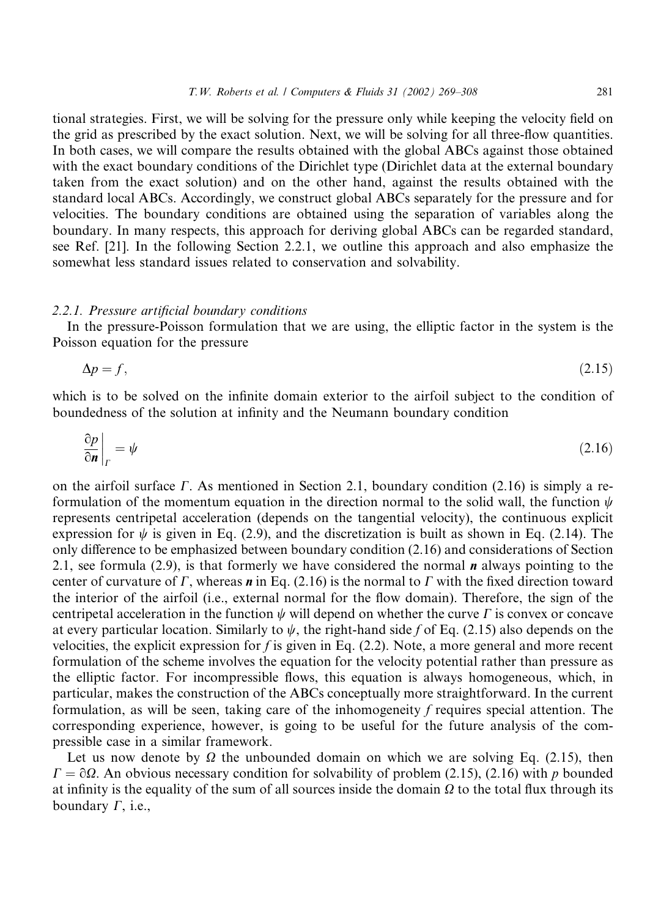tional strategies. First, we will be solving for the pressure only while keeping the velocity field on the grid as prescribed by the exact solution. Next, we will be solving for all three-flow quantities. In both cases, we will compare the results obtained with the global ABCs against those obtained with the exact boundary conditions of the Dirichlet type (Dirichlet data at the external boundary taken from the exact solution) and on the other hand, against the results obtained with the standard local ABCs. Accordingly, we construct global ABCs separately for the pressure and for velocities. The boundary conditions are obtained using the separation of variables along the boundary. In many respects, this approach for deriving global ABCs can be regarded standard, see Ref. [21]. In the following Section 2.2.1, we outline this approach and also emphasize the somewhat less standard issues related to conservation and solvability.

#### 2.2.1. Pressure artificial boundary conditions

In the pressure-Poisson formulation that we are using, the elliptic factor in the system is the Poisson equation for the pressure

$$
\Delta p = f,\tag{2.15}
$$

which is to be solved on the infinite domain exterior to the airfoil subject to the condition of boundedness of the solution at infinity and the Neumann boundary condition

$$
\left. \frac{\partial p}{\partial n} \right|_{\Gamma} = \psi \tag{2.16}
$$

on the airfoil surface  $\Gamma$ . As mentioned in Section 2.1, boundary condition (2.16) is simply a reformulation of the momentum equation in the direction normal to the solid wall, the function  $\psi$ represents centripetal acceleration (depends on the tangential velocity), the continuous explicit expression for  $\psi$  is given in Eq. (2.9), and the discretization is built as shown in Eq. (2.14). The only difference to be emphasized between boundary condition  $(2.16)$  and considerations of Section 2.1, see formula (2.9), is that formerly we have considered the normal  $\boldsymbol{n}$  always pointing to the center of curvature of  $\Gamma$ , whereas  $\bf{n}$  in Eq. (2.16) is the normal to  $\Gamma$  with the fixed direction toward the interior of the airfoil (i.e., external normal for the flow domain). Therefore, the sign of the centripetal acceleration in the function  $\psi$  will depend on whether the curve  $\Gamma$  is convex or concave at every particular location. Similarly to  $\psi$ , the right-hand side f of Eq. (2.15) also depends on the velocities, the explicit expression for  $f$  is given in Eq.  $(2.2)$ . Note, a more general and more recent formulation of the scheme involves the equation for the velocity potential rather than pressure as the elliptic factor. For incompressible flows, this equation is always homogeneous, which, in particular, makes the construction of the ABCs conceptually more straightforward. In the current formulation, as will be seen, taking care of the inhomogeneity  $f$  requires special attention. The corresponding experience, however, is going to be useful for the future analysis of the compressible case in a similar framework.

Let us now denote by  $\Omega$  the unbounded domain on which we are solving Eq. (2.15), then  $\Gamma = \partial \Omega$ . An obvious necessary condition for solvability of problem (2.15), (2.16) with p bounded at infinity is the equality of the sum of all sources inside the domain  $\Omega$  to the total flux through its boundary  $\Gamma$ , i.e.,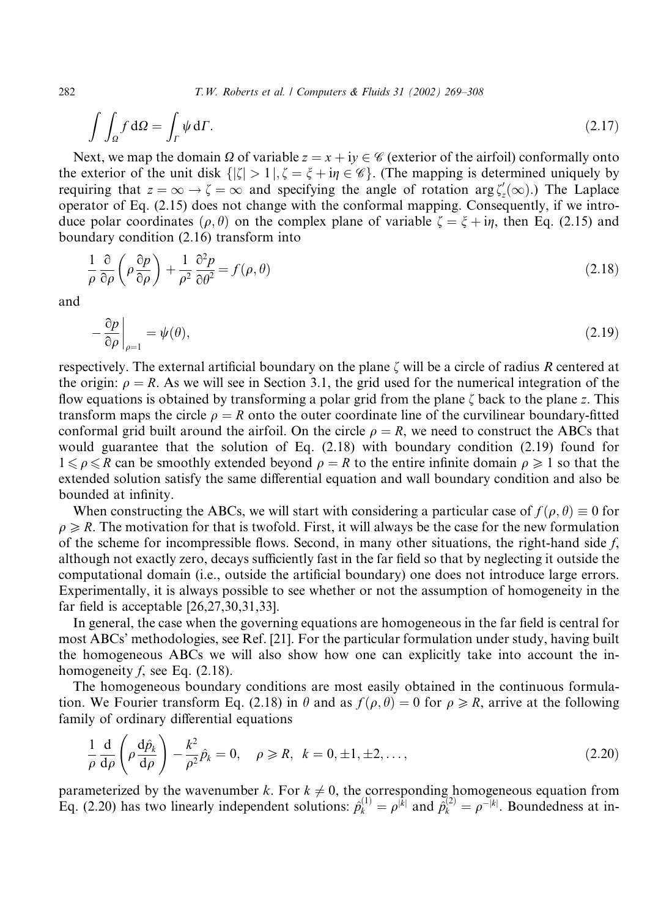T.W. Roberts et al. / Computers & Fluids 31 (2002) 269-308

$$
\int \int_{\Omega} f \, d\Omega = \int_{\Gamma} \psi \, d\Gamma. \tag{2.17}
$$

Next, we map the domain  $\Omega$  of variable  $z = x + iy \in \mathcal{C}$  (exterior of the airfoil) conformally onto the exterior of the unit disk  $\{|\zeta| > 1 |, \zeta = \xi + i\eta \in \mathscr{C}\}\$ . (The mapping is determined uniquely by requiring that  $z = \infty \to \zeta = \infty$  and specifying the angle of rotation arg  $\zeta_z'(\infty)$ .) The Laplace operator of Eq. (2.15) does not change with the conformal mapping. Consequently, if we introduce polar coordinates ( $\rho$ ,  $\theta$ ) on the complex plane of variable  $\zeta = \xi + i\eta$ , then Eq. (2.15) and boundary condition  $(2.16)$  transform into

$$
\frac{1}{\rho} \frac{\partial}{\partial \rho} \left( \rho \frac{\partial p}{\partial \rho} \right) + \frac{1}{\rho^2} \frac{\partial^2 p}{\partial \theta^2} = f(\rho, \theta)
$$
\n(2.18)

and

$$
\left. -\frac{\partial p}{\partial \rho} \right|_{\rho=1} = \psi(\theta),\tag{2.19}
$$

respectively. The external artificial boundary on the plane  $\zeta$  will be a circle of radius R centered at the origin:  $\rho = R$ . As we will see in Section 3.1, the grid used for the numerical integration of the flow equations is obtained by transforming a polar grid from the plane  $\zeta$  back to the plane z. This transform maps the circle  $\rho = R$  onto the outer coordinate line of the curvilinear boundary-fitted conformal grid built around the airfoil. On the circle  $\rho = R$ , we need to construct the ABCs that would guarantee that the solution of Eq.  $(2.18)$  with boundary condition  $(2.19)$  found for  $1 \leqslant \rho \leqslant R$  can be smoothly extended beyond  $\rho = R$  to the entire infinite domain  $\rho \geqslant 1$  so that the extended solution satisfy the same differential equation and wall boundary condition and also be bounded at infinity.

When constructing the ABCs, we will start with considering a particular case of  $f(\rho, \theta) \equiv 0$  for  $\rho \ge R$ . The motivation for that is twofold. First, it will always be the case for the new formulation of the scheme for incompressible flows. Second, in many other situations, the right-hand side  $f$ , although not exactly zero, decays sufficiently fast in the far field so that by neglecting it outside the computational domain (i.e., outside the artificial boundary) one does not introduce large errors. Experimentally, it is always possible to see whether or not the assumption of homogeneity in the far field is acceptable  $[26,27,30,31,33]$ .

In general, the case when the governing equations are homogeneous in the far field is central for most ABCs' methodologies, see Ref. [21]. For the particular formulation under study, having built the homogeneous ABCs we will also show how one can explicitly take into account the inhomogeneity f, see Eq.  $(2.18)$ .

The homogeneous boundary conditions are most easily obtained in the continuous formulation. We Fourier transform Eq. (2.18) in  $\theta$  and as  $f(\rho, \theta) = 0$  for  $\rho \ge R$ , arrive at the following family of ordinary differential equations

$$
\frac{1}{\rho} \frac{d}{d\rho} \left( \rho \frac{d\hat{p}_k}{d\rho} \right) - \frac{k^2}{\rho^2} \hat{p}_k = 0, \quad \rho \ge R, \quad k = 0, \pm 1, \pm 2, \dots,
$$
\n(2.20)

parameterized by the wavenumber k. For  $k \neq 0$ , the corresponding homogeneous equation from Eq. (2.20) has two linearly independent solutions:  $\hat{p}_k^{(1)} = \rho^{|k|}$  and  $\hat{p}_k^{(2)} = \rho^{-|k|}$ . Boundedness at in-

282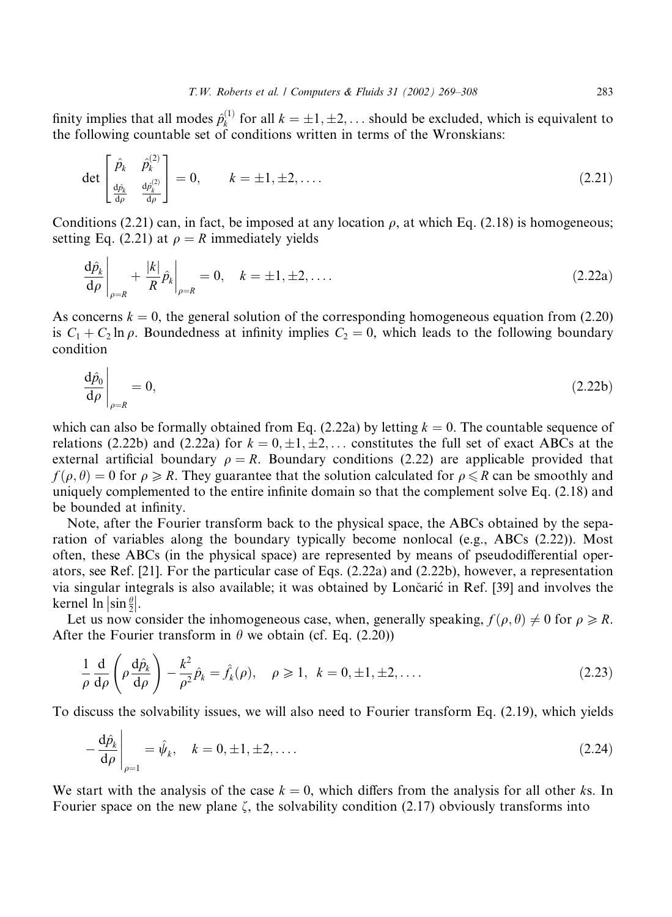finity implies that all modes  $\hat{p}_k^{(1)}$  for all  $k = \pm 1, \pm 2, \ldots$  should be excluded, which is equivalent to the following countable set of conditions written in terms of the Wronskians:

$$
\det \begin{bmatrix} \hat{p}_k & \hat{p}_k^{(2)} \\ \frac{d\hat{p}_k}{d\rho} & \frac{d\hat{p}_k^{(2)}}{d\rho} \end{bmatrix} = 0, \qquad k = \pm 1, \pm 2, \dots.
$$
 (2.21)

Conditions (2.21) can, in fact, be imposed at any location  $\rho$ , at which Eq. (2.18) is homogeneous: setting Eq. (2.21) at  $\rho = R$  immediately yields

$$
\left. \frac{\mathrm{d}\hat{p}_k}{\mathrm{d}\rho} \right|_{\rho=R} + \left. \frac{|k|}{R} \hat{p}_k \right|_{\rho=R} = 0, \quad k = \pm 1, \pm 2, \dots \tag{2.22a}
$$

As concerns  $k = 0$ , the general solution of the corresponding homogeneous equation from (2.20) is  $C_1 + C_2 \ln \rho$ . Boundedness at infinity implies  $C_2 = 0$ , which leads to the following boundary condition

 $\overline{1}$ 

$$
\left. \frac{\mathrm{d}\hat{p}_0}{\mathrm{d}\rho} \right|_{\rho=R} = 0,\tag{2.22b}
$$

which can also be formally obtained from Eq. (2.22a) by letting  $k = 0$ . The countable sequence of relations (2.22b) and (2.22a) for  $k = 0, \pm 1, \pm 2, \ldots$  constitutes the full set of exact ABCs at the external artificial boundary  $\rho = R$ . Boundary conditions (2.22) are applicable provided that  $f(\rho,\theta) = 0$  for  $\rho \ge R$ . They guarantee that the solution calculated for  $\rho \le R$  can be smoothly and uniquely complemented to the entire infinite domain so that the complement solve Eq. (2.18) and be bounded at infinity.

Note, after the Fourier transform back to the physical space, the ABCs obtained by the separation of variables along the boundary typically become nonlocal (e.g., ABCs (2.22)). Most often, these ABCs (in the physical space) are represented by means of pseudodifferential operators, see Ref. [21]. For the particular case of Eqs.  $(2.22a)$  and  $(2.22b)$ , however, a representation via singular integrals is also available; it was obtained by Lončarić in Ref. [39] and involves the kernel ln  $|\sin \frac{\theta}{2}|$ .

Let us now consider the inhomogeneous case, when, generally speaking,  $f(\rho, \theta) \neq 0$  for  $\rho \geq R$ . After the Fourier transform in  $\theta$  we obtain (cf. Eq. (2.20))

$$
\frac{1}{\rho} \frac{d}{d\rho} \left( \rho \frac{d\hat{p}_k}{d\rho} \right) - \frac{k^2}{\rho^2} \hat{p}_k = \hat{f}_k(\rho), \quad \rho \ge 1, \ k = 0, \pm 1, \pm 2, \dots
$$
\n(2.23)

To discuss the solvability issues, we will also need to Fourier transform Eq. (2.19), which yields

$$
-\frac{d\hat{p}_k}{d\rho}\bigg|_{\rho=1} = \hat{\psi}_k, \quad k = 0, \pm 1, \pm 2, \dots
$$
 (2.24)

We start with the analysis of the case  $k = 0$ , which differs from the analysis for all other ks. In Fourier space on the new plane  $\zeta$ , the solvability condition (2.17) obviously transforms into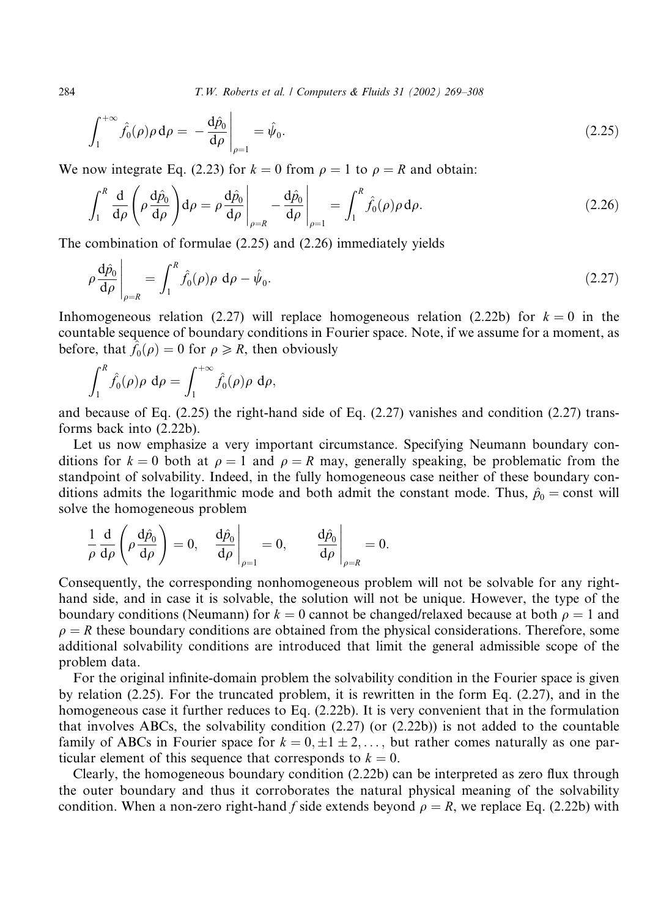T.W. Roberts et al. / Computers & Fluids 31 (2002) 269-308

$$
\int_{1}^{+\infty} \hat{f}_{0}(\rho)\rho \,d\rho = -\frac{d\hat{p}_{0}}{d\rho}\bigg|_{\rho=1} = \hat{\psi}_{0}.
$$
\n(2.25)

We now integrate Eq. (2.23) for  $k = 0$  from  $\rho = 1$  to  $\rho = R$  and obtain:

$$
\int_{1}^{R} \frac{\mathrm{d}}{\mathrm{d}\rho} \left( \rho \frac{\mathrm{d}\hat{\rho}_{0}}{\mathrm{d}\rho} \right) \mathrm{d}\rho = \rho \frac{\mathrm{d}\hat{\rho}_{0}}{\mathrm{d}\rho} \bigg|_{\rho=R} - \frac{\mathrm{d}\hat{\rho}_{0}}{\mathrm{d}\rho} \bigg|_{\rho=1} = \int_{1}^{R} \hat{f}_{0}(\rho) \rho \,\mathrm{d}\rho. \tag{2.26}
$$

The combination of formulae  $(2.25)$  and  $(2.26)$  immediately yields

$$
\rho \frac{\mathrm{d}\hat{p}_0}{\mathrm{d}\rho}\bigg|_{\rho=R} = \int_1^R \hat{f}_0(\rho)\rho \,\mathrm{d}\rho - \hat{\psi}_0. \tag{2.27}
$$

Inhomogeneous relation (2.27) will replace homogeneous relation (2.22b) for  $k = 0$  in the countable sequence of boundary conditions in Fourier space. Note, if we assume for a moment, as before, that  $\hat{f}_0(\rho) = 0$  for  $\rho \ge R$ , then obviously

$$
\int_1^R \hat{f}_0(\rho)\rho \, d\rho = \int_1^{+\infty} \hat{f}_0(\rho)\rho \, d\rho,
$$

 $\mathbf{r}$ 

and because of Eq.  $(2.25)$  the right-hand side of Eq.  $(2.27)$  vanishes and condition  $(2.27)$  transforms back into (2.22b).

Let us now emphasize a very important circumstance. Specifying Neumann boundary conditions for  $k = 0$  both at  $\rho = 1$  and  $\rho = R$  may, generally speaking, be problematic from the standpoint of solvability. Indeed, in the fully homogeneous case neither of these boundary conditions admits the logarithmic mode and both admit the constant mode. Thus,  $\hat{p}_0$  = const will solve the homogeneous problem

$$
\frac{1}{\rho} \frac{d}{d\rho} \left( \rho \frac{d\hat{p}_0}{d\rho} \right) = 0, \quad \frac{d\hat{p}_0}{d\rho} \bigg|_{\rho=1} = 0, \quad \frac{d\hat{p}_0}{d\rho} \bigg|_{\rho=R} = 0.
$$

Consequently, the corresponding nonhomogeneous problem will not be solvable for any righthand side, and in case it is solvable, the solution will not be unique. However, the type of the boundary conditions (Neumann) for  $k = 0$  cannot be changed/relaxed because at both  $\rho = 1$  and  $\rho = R$  these boundary conditions are obtained from the physical considerations. Therefore, some additional solvability conditions are introduced that limit the general admissible scope of the problem data.

For the original infinite-domain problem the solvability condition in the Fourier space is given by relation  $(2.25)$ . For the truncated problem, it is rewritten in the form Eq.  $(2.27)$ , and in the homogeneous case it further reduces to Eq. (2.22b). It is very convenient that in the formulation that involves ABCs, the solvability condition  $(2.27)$  (or  $(2.22b)$ ) is not added to the countable family of ABCs in Fourier space for  $k = 0, \pm 1, \pm 2, \ldots$ , but rather comes naturally as one particular element of this sequence that corresponds to  $k = 0$ .

Clearly, the homogeneous boundary condition (2.22b) can be interpreted as zero flux through the outer boundary and thus it corroborates the natural physical meaning of the solvability condition. When a non-zero right-hand f side extends beyond  $\rho = R$ , we replace Eq. (2.22b) with

284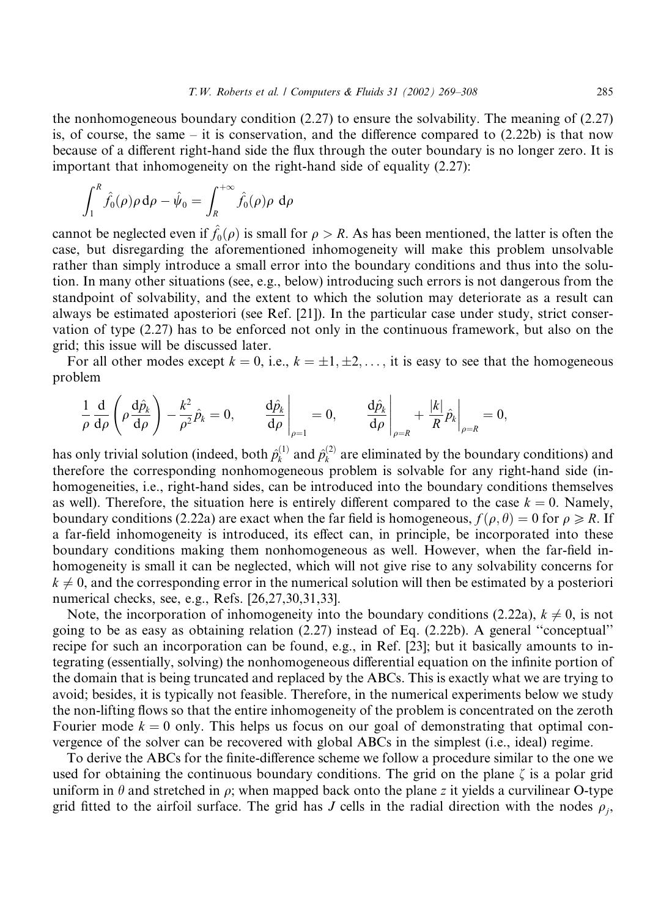the nonhomogeneous boundary condition  $(2.27)$  to ensure the solvability. The meaning of  $(2.27)$ is, of course, the same – it is conservation, and the difference compared to  $(2.22b)$  is that now because of a different right-hand side the flux through the outer boundary is no longer zero. It is important that inhomogeneity on the right-hand side of equality  $(2.27)$ :

$$
\int_1^R \hat{f}_0(\rho)\rho \,d\rho - \hat{\psi}_0 = \int_R^{+\infty} \hat{f}_0(\rho)\rho \,d\rho
$$

cannot be neglected even if  $f_0(\rho)$  is small for  $\rho > R$ . As has been mentioned, the latter is often the case, but disregarding the aforementioned inhomogeneity will make this problem unsolvable rather than simply introduce a small error into the boundary conditions and thus into the solution. In many other situations (see, e.g., below) introducing such errors is not dangerous from the standpoint of solvability, and the extent to which the solution may deteriorate as a result can always be estimated aposteriori (see Ref. [21]). In the particular case under study, strict conservation of type (2.27) has to be enforced not only in the continuous framework, but also on the grid; this issue will be discussed later.

For all other modes except  $k = 0$ , i.e.,  $k = \pm 1, \pm 2, \dots$ , it is easy to see that the homogeneous problem

$$
\frac{1}{\rho}\frac{\mathrm{d}}{\mathrm{d}\rho}\left(\rho\frac{\mathrm{d}\hat{p}_k}{\mathrm{d}\rho}\right)-\frac{k^2}{\rho^2}\hat{p}_k=0,\qquad \frac{\mathrm{d}\hat{p}_k}{\mathrm{d}\rho}\Bigg|_{\rho=1}=0,\qquad \frac{\mathrm{d}\hat{p}_k}{\mathrm{d}\rho}\Bigg|_{\rho=R}+\frac{|k|}{R}\hat{p}_k\Bigg|_{\rho=R}=0
$$

has only trivial solution (indeed, both  $\hat{p}_k^{(1)}$  and  $\hat{p}_k^{(2)}$  are eliminated by the boundary conditions) and therefore the corresponding nonhomogeneous problem is solvable for any right-hand side (inhomogeneities, i.e., right-hand sides, can be introduced into the boundary conditions themselves as well). Therefore, the situation here is entirely different compared to the case  $k = 0$ . Namely, boundary conditions (2.22a) are exact when the far field is homogeneous,  $f(\rho, \theta) = 0$  for  $\rho \ge R$ . If a far-field inhomogeneity is introduced, its effect can, in principle, be incorporated into these boundary conditions making them nonhomogeneous as well. However, when the far-field inhomogeneity is small it can be neglected, which will not give rise to any solvability concerns for  $k \neq 0$ , and the corresponding error in the numerical solution will then be estimated by a posteriori numerical checks, see, e.g., Refs. [26,27,30,31,33].

Note, the incorporation of inhomogeneity into the boundary conditions (2.22a),  $k \neq 0$ , is not going to be as easy as obtaining relation (2.27) instead of Eq. (2.22b). A general "conceptual" recipe for such an incorporation can be found, e.g., in Ref. [23]; but it basically amounts to integrating (essentially, solving) the nonhomogeneous differential equation on the infinite portion of the domain that is being truncated and replaced by the ABCs. This is exactly what we are trying to avoid; besides, it is typically not feasible. Therefore, in the numerical experiments below we study the non-lifting flows so that the entire inhomogeneity of the problem is concentrated on the zeroth Fourier mode  $k = 0$  only. This helps us focus on our goal of demonstrating that optimal convergence of the solver can be recovered with global ABCs in the simplest (i.e., ideal) regime.

To derive the ABCs for the finite-difference scheme we follow a procedure similar to the one we used for obtaining the continuous boundary conditions. The grid on the plane  $\zeta$  is a polar grid uniform in  $\theta$  and stretched in  $\rho$ ; when mapped back onto the plane z it yields a curvilinear O-type grid fitted to the airfoil surface. The grid has J cells in the radial direction with the nodes  $\rho_i$ ,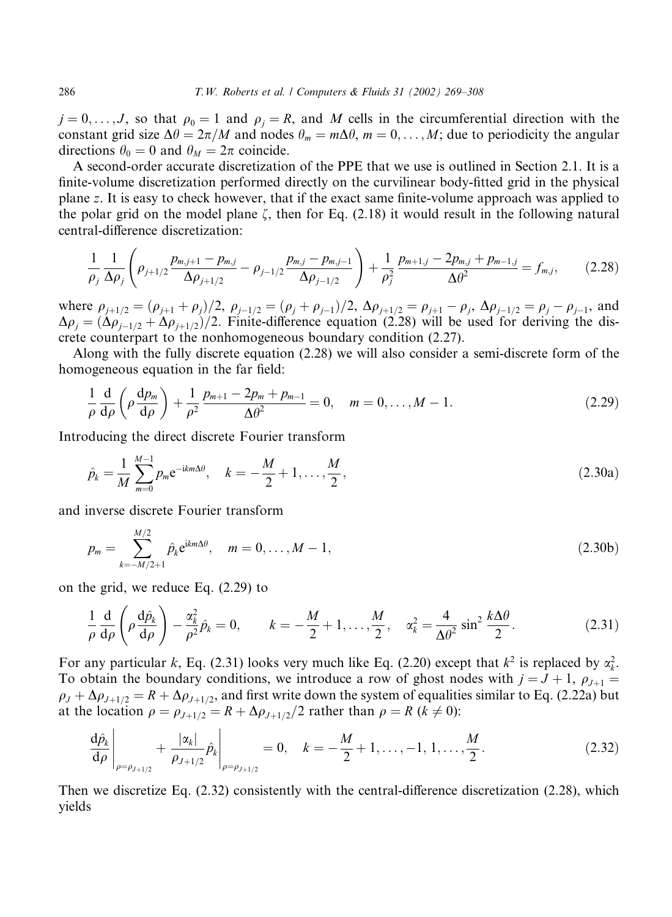$j = 0, \ldots, J$ , so that  $\rho_0 = 1$  and  $\rho_i = R$ , and M cells in the circumferential direction with the constant grid size  $\Delta \theta = 2\pi/M$  and nodes  $\theta_m = m\Delta \theta$ ,  $m = 0, ..., M$ ; due to periodicity the angular directions  $\theta_0 = 0$  and  $\theta_M = 2\pi$  coincide.

A second-order accurate discretization of the PPE that we use is outlined in Section 2.1. It is a finite-volume discretization performed directly on the curvilinear body-fitted grid in the physical plane z. It is easy to check however, that if the exact same finite-volume approach was applied to the polar grid on the model plane  $\zeta$ , then for Eq. (2.18) it would result in the following natural central-difference discretization:

$$
\frac{1}{\rho_j} \frac{1}{\Delta \rho_j} \left( \rho_{j+1/2} \frac{p_{m,j+1} - p_{m,j}}{\Delta \rho_{j+1/2}} - \rho_{j-1/2} \frac{p_{m,j} - p_{m,j-1}}{\Delta \rho_{j-1/2}} \right) + \frac{1}{\rho_j^2} \frac{p_{m+1,j} - 2p_{m,j} + p_{m-1,j}}{\Delta \theta^2} = f_{m,j}, \tag{2.28}
$$

where  $\rho_{j+1/2} = (\rho_{j+1} + \rho_j)/2$ ,  $\rho_{j-1/2} = (\rho_j + \rho_{j-1})/2$ ,  $\Delta \rho_{j+1/2} = \rho_{j+1} - \rho_j$ ,  $\Delta \rho_{j-1/2} = \rho_j - \rho_{j-1}$ , and  $\Delta \rho_j = (\Delta \rho_{j-1/2} + \Delta \rho_{j+1/2})/2$ . Finite-difference equation (2.28) will be used for deriving the discrete counterpart to the nonhomogeneous boundary condition (2.27).

Along with the fully discrete equation  $(2.28)$  we will also consider a semi-discrete form of the homogeneous equation in the far field:

$$
\frac{1}{\rho} \frac{d}{d\rho} \left( \rho \frac{dp_m}{d\rho} \right) + \frac{1}{\rho^2} \frac{p_{m+1} - 2p_m + p_{m-1}}{\Delta \theta^2} = 0, \quad m = 0, \dots, M - 1.
$$
 (2.29)

Introducing the direct discrete Fourier transform

$$
\hat{p}_k = \frac{1}{M} \sum_{m=0}^{M-1} p_m e^{-ikm\Delta\theta}, \quad k = -\frac{M}{2} + 1, \dots, \frac{M}{2}, \tag{2.30a}
$$

and inverse discrete Fourier transform

$$
p_m = \sum_{k=-M/2+1}^{M/2} \hat{p}_k e^{ikm\Delta\theta}, \quad m = 0, \dots, M-1,
$$
 (2.30b)

on the grid, we reduce Eq.  $(2.29)$  to

$$
\frac{1}{\rho} \frac{d}{d\rho} \left( \rho \frac{d\hat{p}_k}{d\rho} \right) - \frac{\alpha_k^2}{\rho^2} \hat{p}_k = 0, \qquad k = -\frac{M}{2} + 1, \dots, \frac{M}{2}, \quad \alpha_k^2 = \frac{4}{\Delta \theta^2} \sin^2 \frac{k \Delta \theta}{2}.
$$
\n(2.31)

For any particular k, Eq. (2.31) looks very much like Eq. (2.20) except that  $k^2$  is replaced by  $\alpha_k^2$ . To obtain the boundary conditions, we introduce a row of ghost nodes with  $j = J + 1$ ,  $\rho_{l+1} =$  $\rho_I + \Delta \rho_{I+1/2} = R + \Delta \rho_{I+1/2}$ , and first write down the system of equalities similar to Eq. (2.22a) but at the location  $\rho = \rho_{J+1/2} = R + \Delta \rho_{J+1/2}/2$  rather than  $\rho = R$  ( $k \neq 0$ ):

$$
\frac{\mathrm{d}\hat{p}_k}{\mathrm{d}\rho}\Big|_{\rho=\rho_{J+1/2}} + \frac{|\alpha_k|}{\rho_{J+1/2}}\hat{p}_k\Big|_{\rho=\rho_{J+1/2}} = 0, \quad k = -\frac{M}{2} + 1, \dots, -1, 1, \dots, \frac{M}{2}.
$$
\n(2.32)

Then we discretize Eq.  $(2.32)$  consistently with the central-difference discretization  $(2.28)$ , which vields

286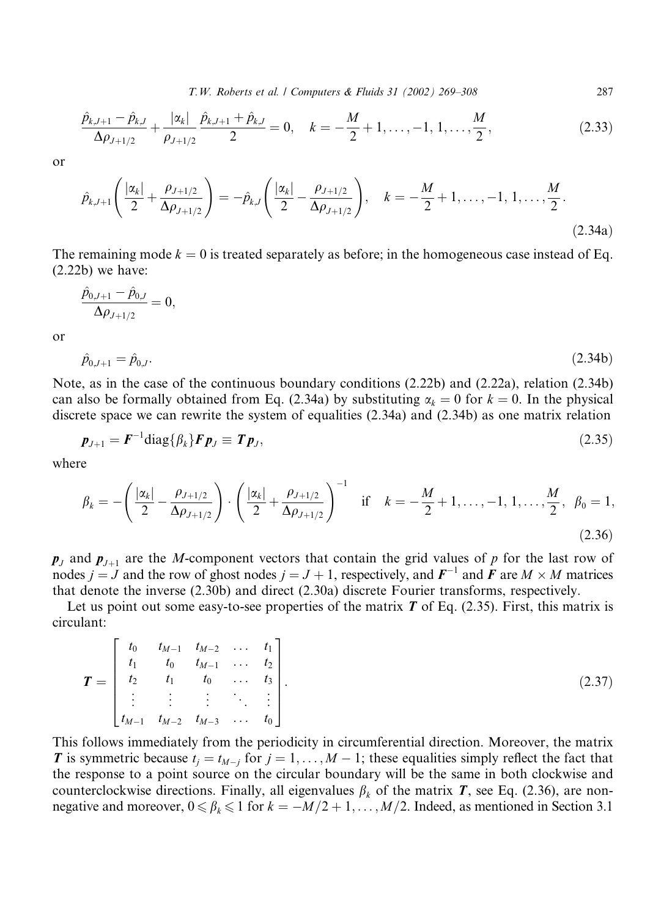T.W. Roberts et al. / Computers & Fluids 31 (2002) 269-308

$$
\frac{\hat{p}_{k,l+1} - \hat{p}_{k,l}}{\Delta \rho_{J+1/2}} + \frac{|\alpha_k|}{\rho_{J+1/2}} \frac{\hat{p}_{k,l+1} + \hat{p}_{k,l}}{2} = 0, \quad k = -\frac{M}{2} + 1, \dots, -1, 1, \dots, \frac{M}{2},
$$
\n(2.33)

or

$$
\hat{p}_{k,J+1}\left(\frac{|\alpha_k|}{2} + \frac{\rho_{J+1/2}}{\Delta \rho_{J+1/2}}\right) = -\hat{p}_{k,J}\left(\frac{|\alpha_k|}{2} - \frac{\rho_{J+1/2}}{\Delta \rho_{J+1/2}}\right), \quad k = -\frac{M}{2} + 1, \dots, -1, 1, \dots, \frac{M}{2}.
$$
\n(2.34a)

The remaining mode  $k = 0$  is treated separately as before; in the homogeneous case instead of Eq.  $(2.22b)$  we have:

$$
\frac{\hat{p}_{0,J+1} - \hat{p}_{0,J}}{\Delta \rho_{J+1/2}} = 0,
$$

<sub>or</sub>

$$
\hat{p}_{0,J+1} = \hat{p}_{0,J}.\tag{2.34b}
$$

Note, as in the case of the continuous boundary conditions (2.22b) and (2.22a), relation (2.34b) can also be formally obtained from Eq. (2.34a) by substituting  $\alpha_k = 0$  for  $k = 0$ . In the physical discrete space we can rewrite the system of equalities  $(2.34a)$  and  $(2.34b)$  as one matrix relation

$$
\boldsymbol{p}_{J+1} = \boldsymbol{F}^{-1} \text{diag}\{\beta_k\} \boldsymbol{F} \boldsymbol{p}_J \equiv \boldsymbol{T} \boldsymbol{p}_J,\tag{2.35}
$$

where

$$
\beta_k = -\left(\frac{|\alpha_k|}{2} - \frac{\rho_{J+1/2}}{\Delta \rho_{J+1/2}}\right) \cdot \left(\frac{|\alpha_k|}{2} + \frac{\rho_{J+1/2}}{\Delta \rho_{J+1/2}}\right)^{-1} \quad \text{if} \quad k = -\frac{M}{2} + 1, \dots, -1, 1, \dots, \frac{M}{2}, \ \beta_0 = 1,
$$
\n(2.36)

 $p_j$  and  $p_{j+1}$  are the *M*-component vectors that contain the grid values of *p* for the last row of nodes  $j = J$  and the row of ghost nodes  $j = J + 1$ , respectively, and  $F^{-1}$  and *F* are *M* × *M* matrices that denote the inverse  $(2.30b)$  and direct  $(2.30a)$  discrete Fourier transforms, respectively.

Let us point out some easy-to-see properties of the matrix  $\bm{T}$  of Eq. (2.35). First, this matrix is circulant:

$$
\boldsymbol{T} = \begin{bmatrix} t_0 & t_{M-1} & t_{M-2} & \dots & t_1 \\ t_1 & t_0 & t_{M-1} & \dots & t_2 \\ t_2 & t_1 & t_0 & \dots & t_3 \\ \vdots & \vdots & \vdots & \ddots & \vdots \\ t_{M-1} & t_{M-2} & t_{M-3} & \dots & t_0 \end{bmatrix} .
$$
 (2.37)

This follows immediately from the periodicity in circumferential direction. Moreover, the matrix T is symmetric because  $t_i = t_{M-i}$  for  $j = 1, ..., M-1$ ; these equalities simply reflect the fact that the response to a point source on the circular boundary will be the same in both clockwise and counterclockwise directions. Finally, all eigenvalues  $\beta_k$  of the matrix T, see Eq. (2.36), are nonnegative and moreover,  $0 \le \beta_k \le 1$  for  $k = -M/2 + 1, ..., M/2$ . Indeed, as mentioned in Section 3.1

287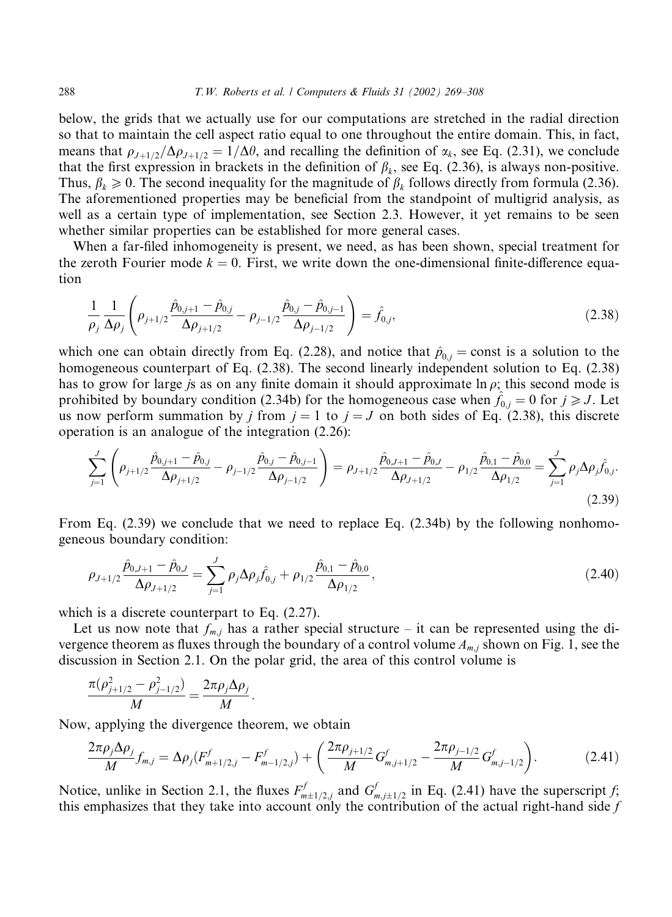below, the grids that we actually use for our computations are stretched in the radial direction so that to maintain the cell aspect ratio equal to one throughout the entire domain. This, in fact, means that  $\rho_{J+1/2}/\Delta\rho_{J+1/2} = 1/\Delta\theta$ , and recalling the definition of  $\alpha_k$ , see Eq. (2.31), we conclude that the first expression in brackets in the definition of  $\beta_k$ , see Eq. (2.36), is always non-positive. Thus,  $\beta_k \ge 0$ . The second inequality for the magnitude of  $\beta_k$  follows directly from formula (2.36). The aforementioned properties may be beneficial from the standpoint of multigrid analysis, as well as a certain type of implementation, see Section 2.3. However, it yet remains to be seen whether similar properties can be established for more general cases.

When a far-filed inhomogeneity is present, we need, as has been shown, special treatment for the zeroth Fourier mode  $k = 0$ . First, we write down the one-dimensional finite-difference equation

$$
\frac{1}{\rho_j} \frac{1}{\Delta \rho_j} \left( \rho_{j+1/2} \frac{\hat{p}_{0,j+1} - \hat{p}_{0,j}}{\Delta \rho_{j+1/2}} - \rho_{j-1/2} \frac{\hat{p}_{0,j} - \hat{p}_{0,j-1}}{\Delta \rho_{j-1/2}} \right) = \hat{f}_{0,j},
$$
\n(2.38)

which one can obtain directly from Eq. (2.28), and notice that  $\hat{p}_{0,i}$  = const is a solution to the homogeneous counterpart of Eq. (2.38). The second linearly independent solution to Eq. (2.38) has to grow for large *j*s as on any finite domain it should approximate  $\ln \rho$ ; this second mode is prohibited by boundary condition (2.34b) for the homogeneous case when  $\hat{f}_{0,i} = 0$  for  $j \ge J$ . Let us now perform summation by j from  $j = 1$  to  $j = J$  on both sides of Eq. (2.38), this discrete operation is an analogue of the integration  $(2.26)$ :

$$
\sum_{j=1}^{J} \left( \rho_{j+1/2} \frac{\hat{p}_{0,j+1} - \hat{p}_{0,j}}{\Delta \rho_{j+1/2}} - \rho_{j-1/2} \frac{\hat{p}_{0,j} - \hat{p}_{0,j-1}}{\Delta \rho_{j-1/2}} \right) = \rho_{J+1/2} \frac{\hat{p}_{0,J+1} - \hat{p}_{0,J}}{\Delta \rho_{J+1/2}} - \rho_{1/2} \frac{\hat{p}_{0,1} - \hat{p}_{0,0}}{\Delta \rho_{1/2}} = \sum_{j=1}^{J} \rho_j \Delta \rho_j \hat{f}_{0,j}.
$$
\n(2.39)

From Eq.  $(2.39)$  we conclude that we need to replace Eq.  $(2.34b)$  by the following nonhomogeneous boundary condition:

$$
\rho_{J+1/2} \frac{\hat{p}_{0,J+1} - \hat{p}_{0,J}}{\Delta \rho_{J+1/2}} = \sum_{j=1}^{J} \rho_j \Delta \rho_j \hat{f}_{0,j} + \rho_{1/2} \frac{\hat{p}_{0,1} - \hat{p}_{0,0}}{\Delta \rho_{1/2}},
$$
\n(2.40)

which is a discrete counterpart to Eq.  $(2.27)$ .

Let us now note that  $f_{m,j}$  has a rather special structure – it can be represented using the divergence theorem as fluxes through the boundary of a control volume  $A_{m,j}$  shown on Fig. 1, see the discussion in Section 2.1. On the polar grid, the area of this control volume is

$$
\frac{\pi(\rho_{j+1/2}^2-\rho_{j-1/2}^2)}{M}=\frac{2\pi\rho_j\Delta\rho_j}{M}.
$$

Now, applying the divergence theorem, we obtain

$$
\frac{2\pi\rho_j\Delta\rho_j}{M}f_{m,j} = \Delta\rho_j(F_{m+1/2,j}^f - F_{m-1/2,j}^f) + \left(\frac{2\pi\rho_{j+1/2}}{M}G_{m,j+1/2}^f - \frac{2\pi\rho_{j-1/2}}{M}G_{m,j-1/2}^f\right). \tag{2.41}
$$

Notice, unlike in Section 2.1, the fluxes  $F_{m\pm 1/2,j}^f$  and  $G_{m,j\pm 1/2}^f$  in Eq. (2.41) have the superscript f; this emphasizes that they take into account only the contribution of the actual right-hand side  $f$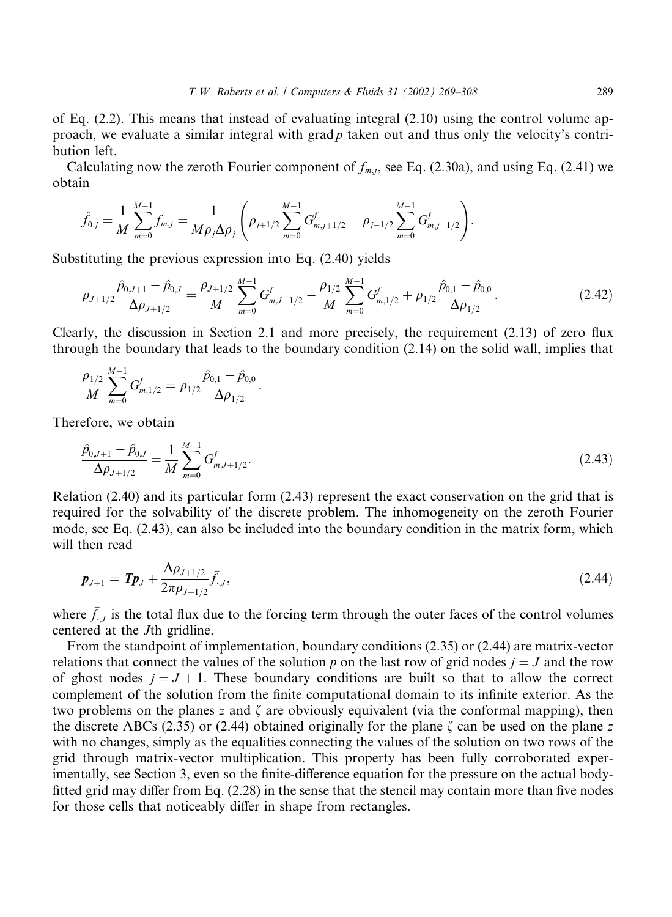of Eq.  $(2.2)$ . This means that instead of evaluating integral  $(2.10)$  using the control volume approach, we evaluate a similar integral with  $\text{grad } p$  taken out and thus only the velocity's contribution left.

Calculating now the zeroth Fourier component of  $f_{m,i}$ , see Eq. (2.30a), and using Eq. (2.41) we obtain

$$
\hat{f}_{0,j} = \frac{1}{M} \sum_{m=0}^{M-1} f_{m,j} = \frac{1}{M \rho_j \Delta \rho_j} \left( \rho_{j+1/2} \sum_{m=0}^{M-1} G_{m,j+1/2}^f - \rho_{j-1/2} \sum_{m=0}^{M-1} G_{m,j-1/2}^f \right).
$$

Substituting the previous expression into Eq. (2.40) yields

$$
\rho_{J+1/2} \frac{\hat{p}_{0,J+1} - \hat{p}_{0,J}}{\Delta \rho_{J+1/2}} = \frac{\rho_{J+1/2}}{M} \sum_{m=0}^{M-1} G_{m,J+1/2}^f - \frac{\rho_{1/2}}{M} \sum_{m=0}^{M-1} G_{m,1/2}^f + \rho_{1/2} \frac{\hat{p}_{0,1} - \hat{p}_{0,0}}{\Delta \rho_{1/2}}.
$$
\n(2.42)

Clearly, the discussion in Section 2.1 and more precisely, the requirement  $(2.13)$  of zero flux through the boundary that leads to the boundary condition (2.14) on the solid wall, implies that

$$
\frac{\rho_{1/2}}{M}\sum_{m=0}^{M-1}G_{m,1/2}^f=\rho_{1/2}\frac{\hat{p}_{0,1}-\hat{p}_{0,0}}{\Delta\rho_{1/2}}
$$

Therefore, we obtain

$$
\frac{\hat{p}_{0,J+1} - \hat{p}_{0,J}}{\Delta \rho_{J+1/2}} = \frac{1}{M} \sum_{m=0}^{M-1} G_{m,J+1/2}^f.
$$
\n(2.43)

Relation  $(2.40)$  and its particular form  $(2.43)$  represent the exact conservation on the grid that is required for the solvability of the discrete problem. The inhomogeneity on the zeroth Fourier mode, see Eq. (2.43), can also be included into the boundary condition in the matrix form, which will then read

$$
p_{J+1} = T p_J + \frac{\Delta \rho_{J+1/2}}{2\pi \rho_{J+1/2}} \bar{f}_{J,J},
$$
\n(2.44)

where  $f_{,I}$  is the total flux due to the forcing term through the outer faces of the control volumes centered at the *J*th gridline.

From the standpoint of implementation, boundary conditions  $(2.35)$  or  $(2.44)$  are matrix-vector relations that connect the values of the solution p on the last row of grid nodes  $j = J$  and the row of ghost nodes  $j = J + 1$ . These boundary conditions are built so that to allow the correct complement of the solution from the finite computational domain to its infinite exterior. As the two problems on the planes z and  $\zeta$  are obviously equivalent (via the conformal mapping), then the discrete ABCs (2.35) or (2.44) obtained originally for the plane  $\zeta$  can be used on the plane z with no changes, simply as the equalities connecting the values of the solution on two rows of the grid through matrix-vector multiplication. This property has been fully corroborated experimentally, see Section 3, even so the finite-difference equation for the pressure on the actual bodyfitted grid may differ from Eq.  $(2.28)$  in the sense that the stencil may contain more than five nodes for those cells that noticeably differ in shape from rectangles.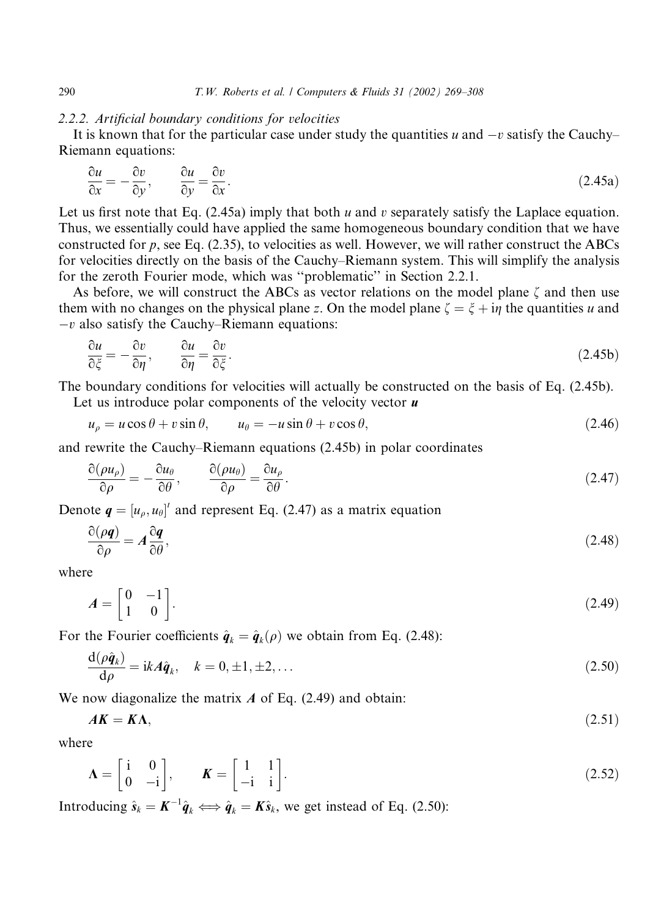#### 2.2.2. Artificial boundary conditions for velocities

It is known that for the particular case under study the quantities u and  $-v$  satisfy the Cauchy-Riemann equations:

$$
\frac{\partial u}{\partial x} = -\frac{\partial v}{\partial y}, \qquad \frac{\partial u}{\partial y} = \frac{\partial v}{\partial x}.
$$
\n(2.45a)

Let us first note that Eq.  $(2.45a)$  imply that both u and v separately satisfy the Laplace equation. Thus, we essentially could have applied the same homogeneous boundary condition that we have constructed for  $p$ , see Eq. (2.35), to velocities as well. However, we will rather construct the ABCs for velocities directly on the basis of the Cauchy–Riemann system. This will simplify the analysis for the zeroth Fourier mode, which was "problematic" in Section 2.2.1.

As before, we will construct the ABCs as vector relations on the model plane  $\zeta$  and then use them with no changes on the physical plane z. On the model plane  $\zeta = \xi + i\eta$  the quantities u and  $-v$  also satisfy the Cauchy–Riemann equations:

$$
\frac{\partial u}{\partial \xi} = -\frac{\partial v}{\partial \eta}, \qquad \frac{\partial u}{\partial \eta} = \frac{\partial v}{\partial \xi}.
$$
\n(2.45b)

The boundary conditions for velocities will actually be constructed on the basis of Eq. (2.45b).

Let us introduce polar components of the velocity vector  $\boldsymbol{u}$ 

$$
u_{\rho} = u\cos\theta + v\sin\theta, \qquad u_{\theta} = -u\sin\theta + v\cos\theta,\tag{2.46}
$$

and rewrite the Cauchy-Riemann equations (2.45b) in polar coordinates

$$
\frac{\partial(\rho u_{\rho})}{\partial \rho} = -\frac{\partial u_{\theta}}{\partial \theta}, \qquad \frac{\partial(\rho u_{\theta})}{\partial \rho} = \frac{\partial u_{\rho}}{\partial \theta}.
$$
\n(2.47)

Denote  $q = [u_{\rho}, u_{\theta}]^t$  and represent Eq. (2.47) as a matrix equation

$$
\frac{\partial(\rho \mathbf{q})}{\partial \rho} = A \frac{\partial \mathbf{q}}{\partial \theta},\tag{2.48}
$$

where

$$
A = \begin{bmatrix} 0 & -1 \\ 1 & 0 \end{bmatrix}.
$$
 (2.49)

For the Fourier coefficients  $\hat{\boldsymbol{q}}_k = \hat{\boldsymbol{q}}_k(\rho)$  we obtain from Eq. (2.48):

$$
\frac{\mathrm{d}(\rho \hat{\boldsymbol{q}}_k)}{\mathrm{d}\rho} = \mathrm{i}k \mathbf{A} \hat{\boldsymbol{q}}_k, \quad k = 0, \pm 1, \pm 2, \dots
$$
\n(2.50)

We now diagonalize the matrix  $\vec{A}$  of Eq. (2.49) and obtain:

$$
AK = K\Lambda, \tag{2.51}
$$

where

$$
\Lambda = \begin{bmatrix} i & 0 \\ 0 & -i \end{bmatrix}, \qquad \boldsymbol{K} = \begin{bmatrix} 1 & 1 \\ -i & i \end{bmatrix}.
$$
 (2.52)

Introducing  $\hat{s}_k = K^{-1} \hat{q}_k \Longleftrightarrow \hat{q}_k = K \hat{s}_k$ , we get instead of Eq. (2.50):

290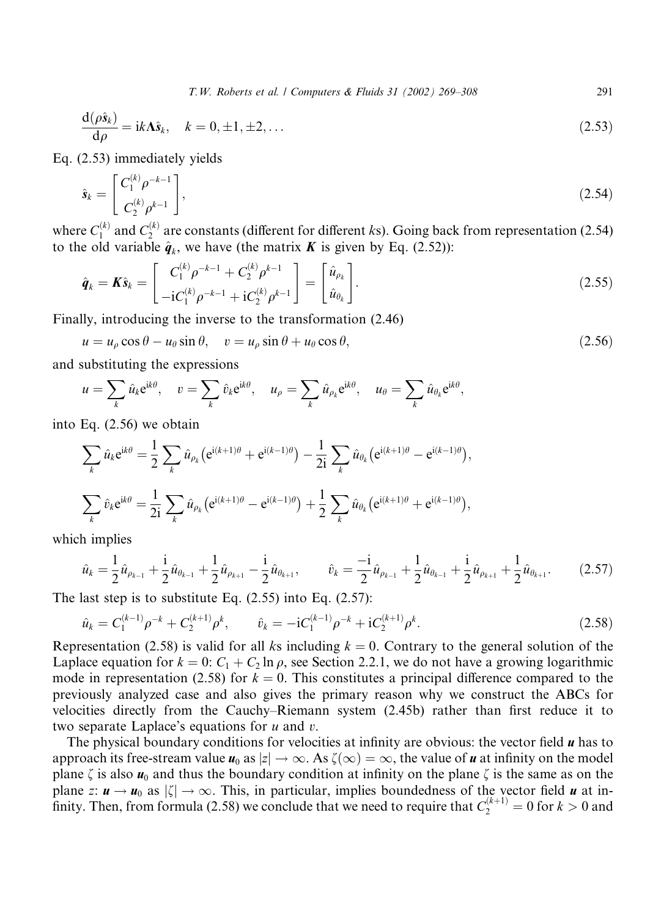T.W. Roberts et al. / Computers & Fluids 31 (2002) 269-308

291

$$
\frac{\mathrm{d}(\rho \hat{\mathbf{s}}_k)}{\mathrm{d}\rho} = \mathbf{i}k\Lambda \hat{\mathbf{s}}_k, \quad k = 0, \pm 1, \pm 2, \dots
$$
\n(2.53)

Eq.  $(2.53)$  immediately yields

$$
\hat{\mathbf{s}}_k = \begin{bmatrix} C_1^{(k)} \rho^{-k-1} \\ C_2^{(k)} \rho^{k-1} \end{bmatrix},\tag{2.54}
$$

where  $C_1^{(k)}$  and  $C_2^{(k)}$  are constants (different for different ks). Going back from representation (2.54) to the old variable  $\hat{q}_k$ , we have (the matrix **K** is given by Eq. (2.52)):

$$
\hat{\boldsymbol{q}}_k = \boldsymbol{K}\hat{\boldsymbol{s}}_k = \begin{bmatrix} C_1^{(k)} \rho^{-k-1} + C_2^{(k)} \rho^{k-1} \\ -i C_1^{(k)} \rho^{-k-1} + i C_2^{(k)} \rho^{k-1} \end{bmatrix} = \begin{bmatrix} \hat{u}_{\rho_k} \\ \hat{u}_{\theta_k} \end{bmatrix}.
$$
\n(2.55)

Finally, introducing the inverse to the transformation (2.46)

$$
u = u_{\rho} \cos \theta - u_{\theta} \sin \theta, \quad v = u_{\rho} \sin \theta + u_{\theta} \cos \theta,
$$
\n
$$
(2.56)
$$

and substituting the expressions

$$
u = \sum_{k} \hat{u}_{k} e^{ik\theta}, \quad v = \sum_{k} \hat{v}_{k} e^{ik\theta}, \quad u_{\rho} = \sum_{k} \hat{u}_{\rho_{k}} e^{ik\theta}, \quad u_{\theta} = \sum_{k} \hat{u}_{\theta_{k}} e^{ik\theta}
$$

into Eq.  $(2.56)$  we obtain

$$
\sum_{k} \hat{u}_{k} e^{ik\theta} = \frac{1}{2} \sum_{k} \hat{u}_{\rho_{k}} \left( e^{i(k+1)\theta} + e^{i(k-1)\theta} \right) - \frac{1}{2i} \sum_{k} \hat{u}_{\theta_{k}} \left( e^{i(k+1)\theta} - e^{i(k-1)\theta} \right),
$$
  

$$
\sum_{k} \hat{v}_{k} e^{ik\theta} = \frac{1}{2i} \sum_{k} \hat{u}_{\rho_{k}} \left( e^{i(k+1)\theta} - e^{i(k-1)\theta} \right) + \frac{1}{2} \sum_{k} \hat{u}_{\theta_{k}} \left( e^{i(k+1)\theta} + e^{i(k-1)\theta} \right),
$$

which implies

$$
\hat{u}_k = \frac{1}{2}\hat{u}_{\rho_{k-1}} + \frac{1}{2}\hat{u}_{\theta_{k-1}} + \frac{1}{2}\hat{u}_{\rho_{k+1}} - \frac{1}{2}\hat{u}_{\theta_{k+1}}, \qquad \hat{v}_k = \frac{-i}{2}\hat{u}_{\rho_{k-1}} + \frac{1}{2}\hat{u}_{\theta_{k-1}} + \frac{1}{2}\hat{u}_{\rho_{k+1}} + \frac{1}{2}\hat{u}_{\theta_{k+1}}.
$$
 (2.57)

The last step is to substitute Eq.  $(2.55)$  into Eq.  $(2.57)$ :

$$
\hat{u}_k = C_1^{(k-1)} \rho^{-k} + C_2^{(k+1)} \rho^k, \qquad \hat{v}_k = -i C_1^{(k-1)} \rho^{-k} + i C_2^{(k+1)} \rho^k.
$$
\n(2.58)

Representation (2.58) is valid for all ks including  $k = 0$ . Contrary to the general solution of the Laplace equation for  $k = 0$ :  $C_1 + C_2 \ln \rho$ , see Section 2.2.1, we do not have a growing logarithmic mode in representation (2.58) for  $k = 0$ . This constitutes a principal difference compared to the previously analyzed case and also gives the primary reason why we construct the ABCs for velocities directly from the Cauchy–Riemann system (2.45b) rather than first reduce it to two separate Laplace's equations for  $u$  and  $v$ .

The physical boundary conditions for velocities at infinity are obvious: the vector field  $\boldsymbol{u}$  has to approach its free-stream value  $u_0$  as  $|z| \to \infty$ . As  $\zeta(\infty) = \infty$ , the value of u at infinity on the model plane  $\zeta$  is also  $u_0$  and thus the boundary condition at infinity on the plane  $\zeta$  is the same as on the plane z:  $u \to u_0$  as  $|\zeta| \to \infty$ . This, in particular, implies boundedness of the vector field u at infinity. Then, from formula (2.58) we conclude that we need to require that  $C_2^{(k+1)} = 0$  for  $k > 0$  and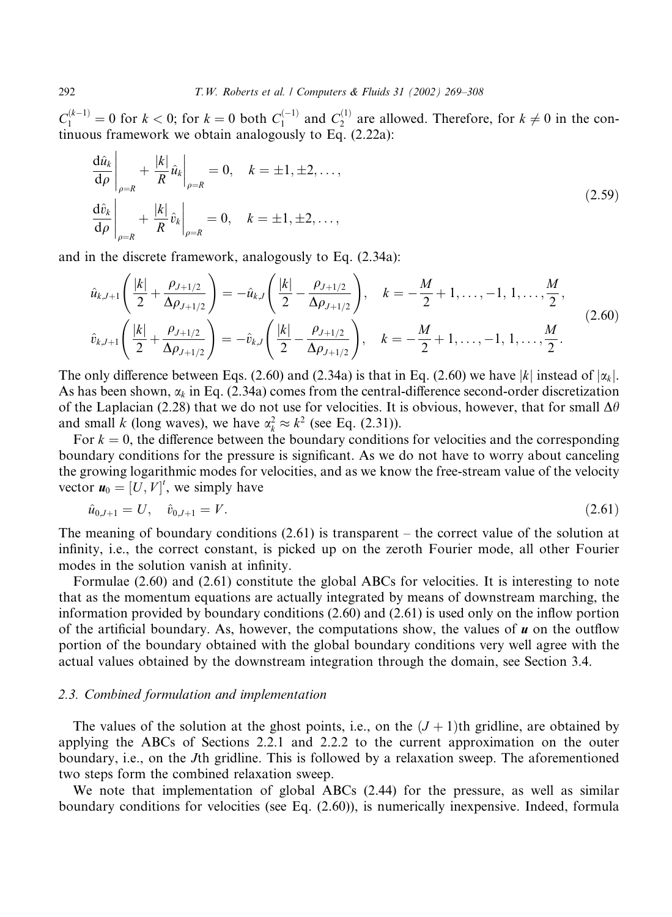$C_1^{(k-1)} = 0$  for  $k < 0$ ; for  $k = 0$  both  $C_1^{(-1)}$  and  $C_2^{(1)}$  are allowed. Therefore, for  $k \neq 0$  in the continuous framework we obtain analogously to Eq.  $(2.22a)$ :

$$
\left. \frac{\mathrm{d}\hat{u}_k}{\mathrm{d}\rho} \right|_{\rho=R} + \left. \frac{|k|}{R} \hat{u}_k \right|_{\rho=R} = 0, \quad k = \pm 1, \pm 2, \dots,
$$
\n
$$
\left. \frac{\mathrm{d}\hat{v}_k}{\mathrm{d}\rho} \right|_{\rho=R} + \left. \frac{|k|}{R} \hat{v}_k \right|_{\rho=R} = 0, \quad k = \pm 1, \pm 2, \dots,
$$
\n(2.59)

and in the discrete framework, analogously to Eq. (2.34a):

$$
\hat{u}_{k,J+1}\left(\frac{|k|}{2} + \frac{\rho_{J+1/2}}{\Delta \rho_{J+1/2}}\right) = -\hat{u}_{k,J}\left(\frac{|k|}{2} - \frac{\rho_{J+1/2}}{\Delta \rho_{J+1/2}}\right), \quad k = -\frac{M}{2} + 1, \dots, -1, 1, \dots, \frac{M}{2},
$$
\n
$$
\hat{v}_{k,J+1}\left(\frac{|k|}{2} + \frac{\rho_{J+1/2}}{\Delta \rho_{J+1/2}}\right) = -\hat{v}_{k,J}\left(\frac{|k|}{2} - \frac{\rho_{J+1/2}}{\Delta \rho_{J+1/2}}\right), \quad k = -\frac{M}{2} + 1, \dots, -1, 1, \dots, \frac{M}{2}.
$$
\n(2.60)

The only difference between Eqs. (2.60) and (2.34a) is that in Eq. (2.60) we have |k| instead of  $|\alpha_k|$ . As has been shown,  $\alpha_k$  in Eq. (2.34a) comes from the central-difference second-order discretization of the Laplacian (2.28) that we do not use for velocities. It is obvious, however, that for small  $\Delta\theta$ and small k (long waves), we have  $\alpha_k^2 \approx k^2$  (see Eq. (2.31)).

For  $k = 0$ , the difference between the boundary conditions for velocities and the corresponding boundary conditions for the pressure is significant. As we do not have to worry about canceling the growing logarithmic modes for velocities, and as we know the free-stream value of the velocity vector  $u_0 = [U, V]^t$ , we simply have

$$
\hat{u}_{0,J+1} = U, \quad \hat{v}_{0,J+1} = V. \tag{2.61}
$$

The meaning of boundary conditions  $(2.61)$  is transparent – the correct value of the solution at infinity, i.e., the correct constant, is picked up on the zeroth Fourier mode, all other Fourier modes in the solution vanish at infinity.

Formulae (2.60) and (2.61) constitute the global ABCs for velocities. It is interesting to note that as the momentum equations are actually integrated by means of downstream marching, the information provided by boundary conditions  $(2.60)$  and  $(2.61)$  is used only on the inflow portion of the artificial boundary. As, however, the computations show, the values of  $\boldsymbol{u}$  on the outflow portion of the boundary obtained with the global boundary conditions very well agree with the actual values obtained by the downstream integration through the domain, see Section 3.4.

# 2.3. Combined formulation and implementation

The values of the solution at the ghost points, i.e., on the  $(J + 1)$ th gridline, are obtained by applying the ABCs of Sections 2.2.1 and 2.2.2 to the current approximation on the outer boundary, i.e., on the J<sup>th</sup> gridline. This is followed by a relaxation sweep. The aforementioned two steps form the combined relaxation sweep.

We note that implementation of global ABCs (2.44) for the pressure, as well as similar boundary conditions for velocities (see Eq. (2.60)), is numerically inexpensive. Indeed, formula

292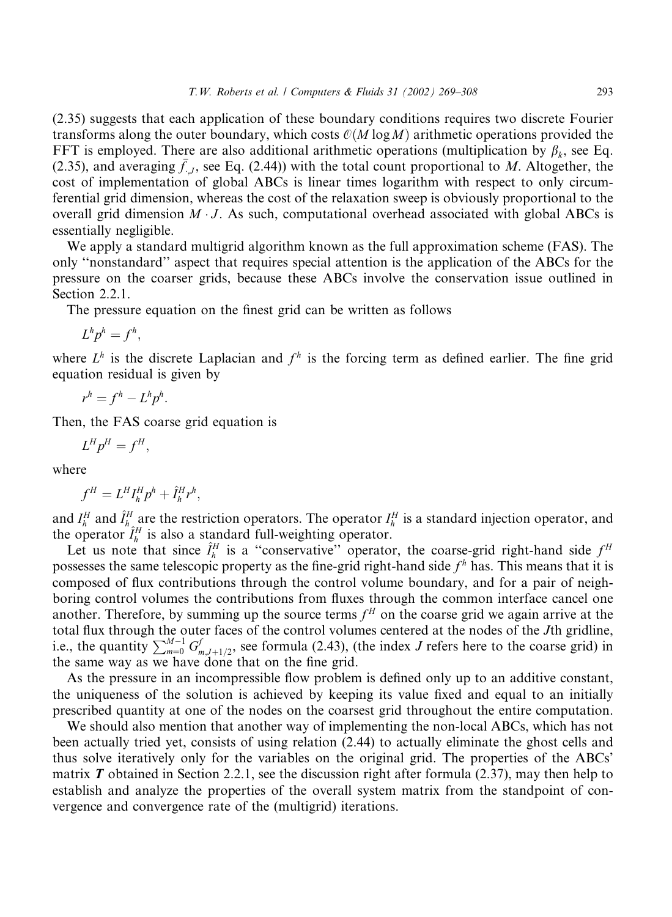(2.35) suggests that each application of these boundary conditions requires two discrete Fourier transforms along the outer boundary, which costs  $O(M \log M)$  arithmetic operations provided the FFT is employed. There are also additional arithmetic operations (multiplication by  $\beta_k$ , see Eq. (2.35), and averaging  $\bar{f}_{J}$ , see Eq. (2.44)) with the total count proportional to M. Altogether, the cost of implementation of global ABCs is linear times logarithm with respect to only circumferential grid dimension, whereas the cost of the relaxation sweep is obviously proportional to the overall grid dimension  $M \cdot J$ . As such, computational overhead associated with global ABCs is essentially negligible.

We apply a standard multigrid algorithm known as the full approximation scheme (FAS). The only "nonstandard" aspect that requires special attention is the application of the ABCs for the pressure on the coarser grids, because these ABCs involve the conservation issue outlined in Section 2.2.1.

The pressure equation on the finest grid can be written as follows

$$
L^h p^h = f^h,
$$

where  $L^h$  is the discrete Laplacian and  $f^h$  is the forcing term as defined earlier. The fine grid equation residual is given by

$$
r^h = f^h - L^h p^h.
$$

Then, the FAS coarse grid equation is

$$
L^H p^H = f^H,
$$

where

$$
f^H = L^H I_h^H p^h + \hat{I}_h^H r^h,
$$

and  $I_h^H$  and  $\hat{I}_h^H$  are the restriction operators. The operator  $I_h^H$  is a standard injection operator, and<br>the operator  $\hat{I}_h^H$  is also a standard full-weighting operator.<br>Let us note that since  $\hat{I}_h^H$  is a

possesses the same telescopic property as the fine-grid right-hand side  $f<sup>h</sup>$  has. This means that it is composed of flux contributions through the control volume boundary, and for a pair of neighboring control volumes the contributions from fluxes through the common interface cancel one another. Therefore, by summing up the source terms  $f^H$  on the coarse grid we again arrive at the total flux through the outer faces of the control volumes centered at the nodes of the Jth gridline,<br>i.e., the quantity  $\sum_{m=0}^{M-1} G_{m,J+1/2}^f$ , see formula (2.43), (the index J refers here to the coarse grid) in the same way as we have done that on the fine grid.

As the pressure in an incompressible flow problem is defined only up to an additive constant, the uniqueness of the solution is achieved by keeping its value fixed and equal to an initially prescribed quantity at one of the nodes on the coarsest grid throughout the entire computation.

We should also mention that another way of implementing the non-local ABCs, which has not been actually tried yet, consists of using relation (2.44) to actually eliminate the ghost cells and thus solve iteratively only for the variables on the original grid. The properties of the ABCs' matrix  $T$  obtained in Section 2.2.1, see the discussion right after formula (2.37), may then help to establish and analyze the properties of the overall system matrix from the standpoint of convergence and convergence rate of the (multigrid) iterations.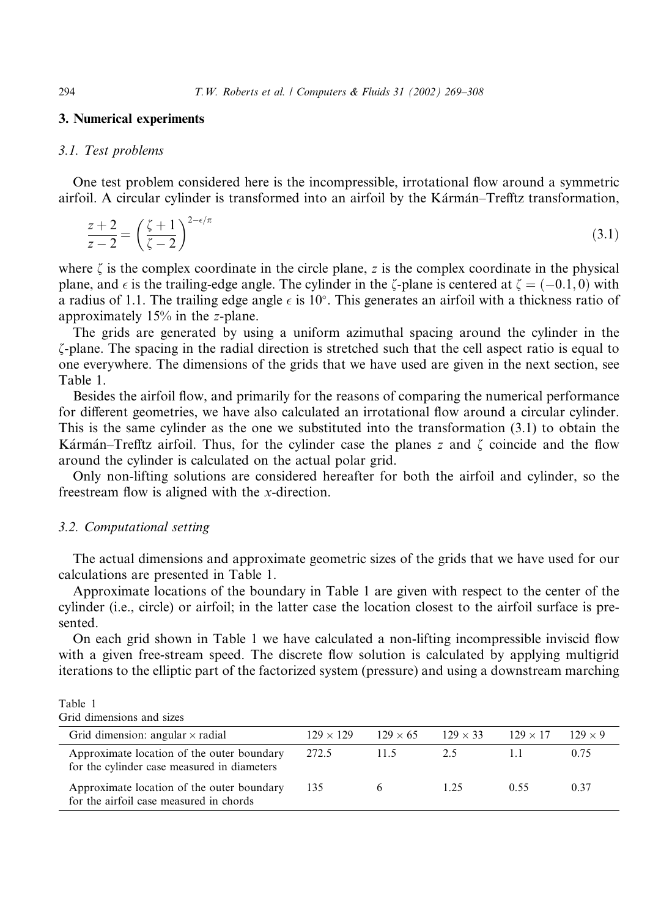#### 3. Numerical experiments

# 3.1. Test problems

One test problem considered here is the incompressible, irrotational flow around a symmetric airfoil. A circular cylinder is transformed into an airfoil by the Kármán–Trefftz transformation,

$$
\frac{z+2}{z-2} = \left(\frac{\zeta+1}{\zeta-2}\right)^{2-\epsilon/\pi} \tag{3.1}
$$

where  $\zeta$  is the complex coordinate in the circle plane, z is the complex coordinate in the physical plane, and  $\epsilon$  is the trailing-edge angle. The cylinder in the  $\zeta$ -plane is centered at  $\zeta = (-0.1, 0)$  with a radius of 1.1. The trailing edge angle  $\epsilon$  is 10°. This generates an airfoil with a thickness ratio of approximately  $15\%$  in the z-plane.

The grids are generated by using a uniform azimuthal spacing around the cylinder in the (-plane. The spacing in the radial direction is stretched such that the cell aspect ratio is equal to one everywhere. The dimensions of the grids that we have used are given in the next section, see Table 1.

Besides the airfoil flow, and primarily for the reasons of comparing the numerical performance for different geometries, we have also calculated an irrotational flow around a circular cylinder. This is the same cylinder as the one we substituted into the transformation  $(3.1)$  to obtain the Kármán–Trefftz airfoil. Thus, for the cylinder case the planes z and  $\zeta$  coincide and the flow around the cylinder is calculated on the actual polar grid.

Only non-lifting solutions are considered hereafter for both the airfoil and cylinder, so the freestream flow is aligned with the x-direction.

# 3.2. Computational setting

The actual dimensions and approximate geometric sizes of the grids that we have used for our calculations are presented in Table 1.

Approximate locations of the boundary in Table 1 are given with respect to the center of the cylinder (i.e., circle) or airfoil; in the latter case the location closest to the airfoil surface is presented.

On each grid shown in Table 1 we have calculated a non-lifting incompressible inviscid flow with a given free-stream speed. The discrete flow solution is calculated by applying multigrid iterations to the elliptic part of the factorized system (pressure) and using a downstream marching

Table 1 Grid dimensions and sizes

| Grid dimension: angular $\times$ radial                                                   | $129 \times 129$ | $129 \times 65$ | $129 \times 33$ | $129 \times 17$ | $129 \times 9$ |
|-------------------------------------------------------------------------------------------|------------------|-----------------|-----------------|-----------------|----------------|
| Approximate location of the outer boundary<br>for the cylinder case measured in diameters | 272.5            | 11.5            | 25              |                 | 0.75           |
| Approximate location of the outer boundary<br>for the airfoil case measured in chords     | 135              |                 | 125             | 0.55            | 0.37           |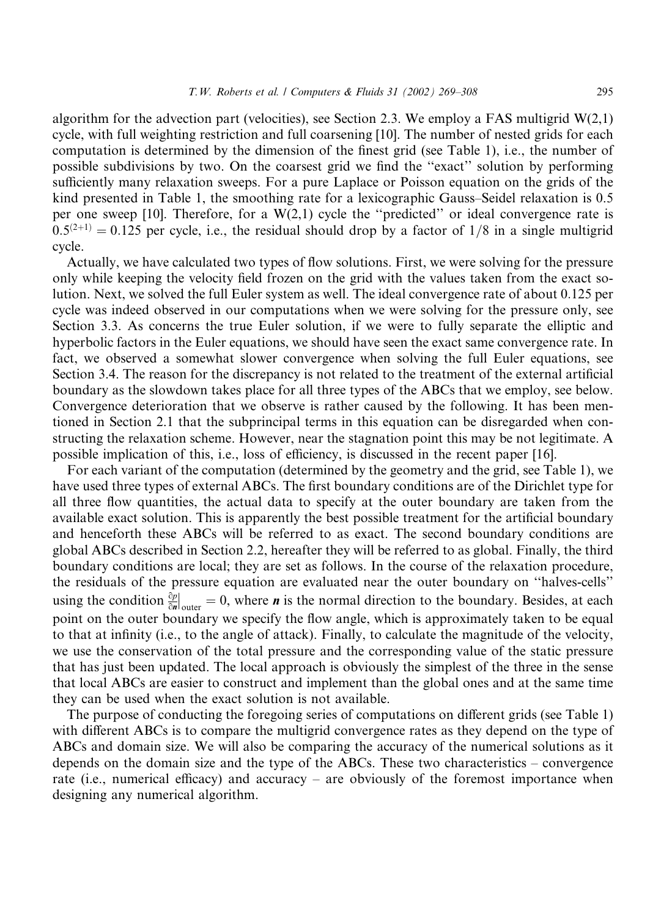algorithm for the advection part (velocities), see Section 2.3. We employ a FAS multigrid  $W(2,1)$ cycle, with full weighting restriction and full coarsening [10]. The number of nested grids for each computation is determined by the dimension of the finest grid (see Table 1), i.e., the number of possible subdivisions by two. On the coarsest grid we find the "exact" solution by performing sufficiently many relaxation sweeps. For a pure Laplace or Poisson equation on the grids of the kind presented in Table 1, the smoothing rate for a lexicographic Gauss–Seidel relaxation is 0.5 per one sweep [10]. Therefore, for a  $W(2,1)$  cycle the "predicted" or ideal convergence rate is  $0.5^{(2+1)} = 0.125$  per cycle, i.e., the residual should drop by a factor of 1/8 in a single multigrid cycle.

Actually, we have calculated two types of flow solutions. First, we were solving for the pressure only while keeping the velocity field frozen on the grid with the values taken from the exact solution. Next, we solved the full Euler system as well. The ideal convergence rate of about 0.125 per cycle was indeed observed in our computations when we were solving for the pressure only, see Section 3.3. As concerns the true Euler solution, if we were to fully separate the elliptic and hyperbolic factors in the Euler equations, we should have seen the exact same convergence rate. In fact, we observed a somewhat slower convergence when solving the full Euler equations, see Section 3.4. The reason for the discrepancy is not related to the treatment of the external artificial boundary as the slowdown takes place for all three types of the ABCs that we employ, see below. Convergence deterioration that we observe is rather caused by the following. It has been mentioned in Section 2.1 that the subprincipal terms in this equation can be disregarded when constructing the relaxation scheme. However, near the stagnation point this may be not legitimate. A possible implication of this, i.e., loss of efficiency, is discussed in the recent paper [16].

For each variant of the computation (determined by the geometry and the grid, see Table 1), we have used three types of external ABCs. The first boundary conditions are of the Dirichlet type for all three flow quantities, the actual data to specify at the outer boundary are taken from the available exact solution. This is apparently the best possible treatment for the artificial boundary and henceforth these ABCs will be referred to as exact. The second boundary conditions are global ABCs described in Section 2.2, hereafter they will be referred to as global. Finally, the third boundary conditions are local; they are set as follows. In the course of the relaxation procedure, the residuals of the pressure equation are evaluated near the outer boundary on "halves-cells" using the condition  $\frac{\partial p}{\partial n}\Big|_{\text{outer}} = 0$ , where *n* is the normal direction to the boundary. Besides, at each point on the outer boundary we specify the flow angle, which is approximately taken to be equal to that at infinity (i.e., to the angle of attack). Finally, to calculate the magnitude of the velocity, we use the conservation of the total pressure and the corresponding value of the static pressure that has just been updated. The local approach is obviously the simplest of the three in the sense that local ABCs are easier to construct and implement than the global ones and at the same time they can be used when the exact solution is not available.

The purpose of conducting the foregoing series of computations on different grids (see Table 1) with different ABCs is to compare the multigrid convergence rates as they depend on the type of ABCs and domain size. We will also be comparing the accuracy of the numerical solutions as it depends on the domain size and the type of the ABCs. These two characteristics  $-\text{convergence}$ rate (i.e., numerical efficacy) and accuracy – are obviously of the foremost importance when designing any numerical algorithm.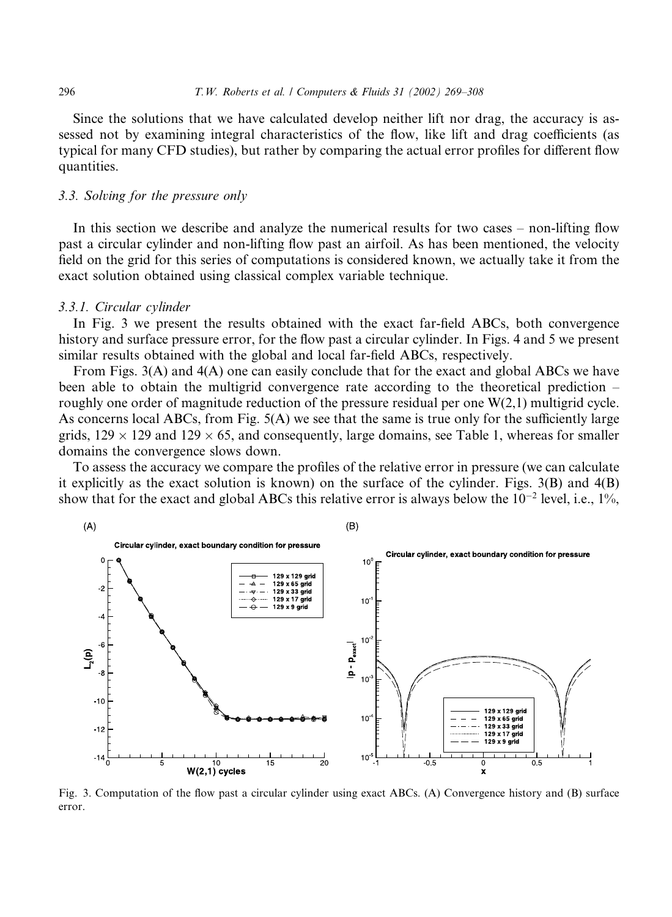Since the solutions that we have calculated develop neither lift nor drag, the accuracy is assessed not by examining integral characteristics of the flow, like lift and drag coefficients (as typical for many CFD studies), but rather by comparing the actual error profiles for different flow quantities.

# 3.3. Solving for the pressure only

In this section we describe and analyze the numerical results for two cases – non-lifting flow past a circular cylinder and non-lifting flow past an airfoil. As has been mentioned, the velocity field on the grid for this series of computations is considered known, we actually take it from the exact solution obtained using classical complex variable technique.

#### 3.3.1. Circular cylinder

In Fig. 3 we present the results obtained with the exact far-field ABCs, both convergence history and surface pressure error, for the flow past a circular cylinder. In Figs. 4 and 5 we present similar results obtained with the global and local far-field ABCs, respectively.

From Figs.  $3(A)$  and  $4(A)$  one can easily conclude that for the exact and global ABCs we have been able to obtain the multigrid convergence rate according to the theoretical prediction – roughly one order of magnitude reduction of the pressure residual per one  $W(2,1)$  multigrid cycle. As concerns local ABCs, from Fig. 5(A) we see that the same is true only for the sufficiently large grids,  $129 \times 129$  and  $129 \times 65$ , and consequently, large domains, see Table 1, whereas for smaller domains the convergence slows down.

To assess the accuracy we compare the profiles of the relative error in pressure (we can calculate it explicitly as the exact solution is known) on the surface of the cylinder. Figs.  $3(B)$  and  $4(B)$ show that for the exact and global ABCs this relative error is always below the  $10^{-2}$  level, i.e.,  $1\%$ ,



Fig. 3. Computation of the flow past a circular cylinder using exact ABCs. (A) Convergence history and (B) surface error.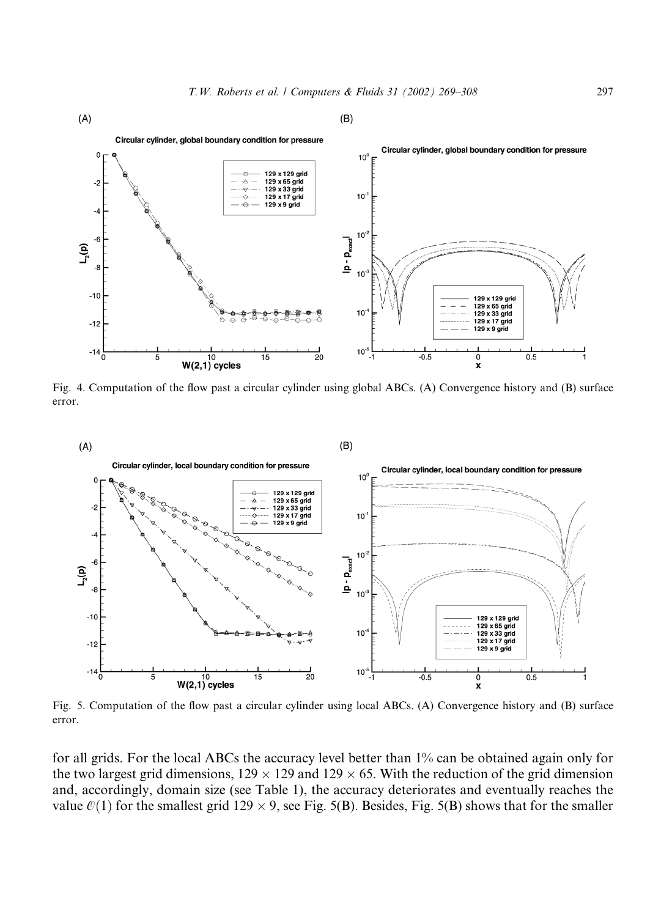

Fig. 4. Computation of the flow past a circular cylinder using global ABCs. (A) Convergence history and (B) surface error.



Fig. 5. Computation of the flow past a circular cylinder using local ABCs. (A) Convergence history and (B) surface error.

for all grids. For the local ABCs the accuracy level better than 1% can be obtained again only for the two largest grid dimensions,  $129 \times 129$  and  $129 \times 65$ . With the reduction of the grid dimension and, accordingly, domain size (see Table 1), the accuracy deteriorates and eventually reaches the value  $\mathcal{O}(1)$  for the smallest grid 129  $\times$  9, see Fig. 5(B). Besides, Fig. 5(B) shows that for the smaller

 $(B)$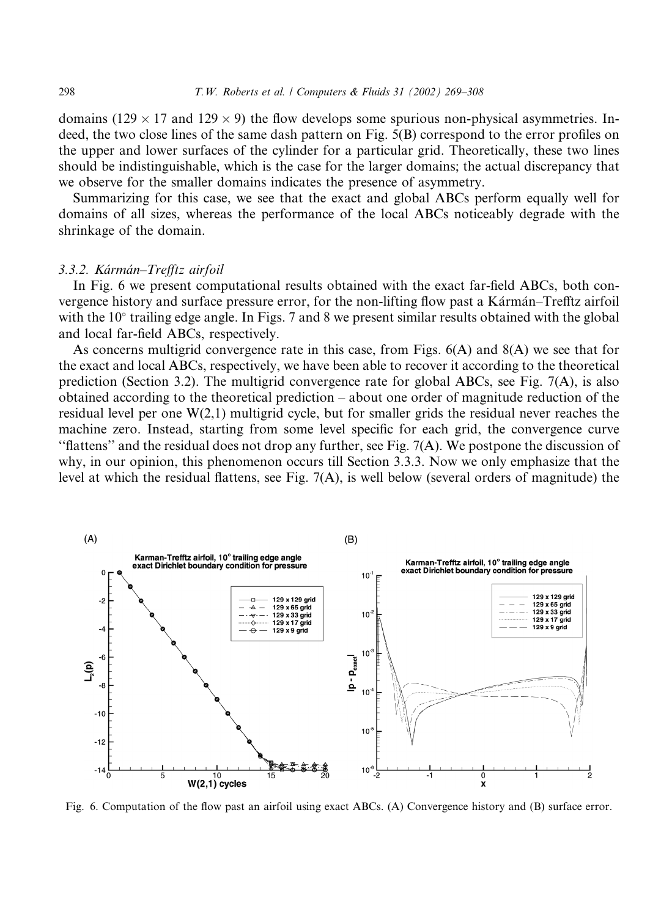domains (129  $\times$  17 and 129  $\times$  9) the flow develops some spurious non-physical asymmetries. Indeed, the two close lines of the same dash pattern on Fig. 5(B) correspond to the error profiles on the upper and lower surfaces of the cylinder for a particular grid. Theoretically, these two lines should be indistinguishable, which is the case for the larger domains; the actual discrepancy that we observe for the smaller domains indicates the presence of asymmetry.

Summarizing for this case, we see that the exact and global ABCs perform equally well for domains of all sizes, whereas the performance of the local ABCs noticeably degrade with the shrinkage of the domain.

#### 3.3.2. Kármán-Trefftz airfoil

In Fig. 6 we present computational results obtained with the exact far-field ABCs, both convergence history and surface pressure error, for the non-lifting flow past a Kármán–Trefftz airfoil with the  $10^{\circ}$  trailing edge angle. In Figs. 7 and 8 we present similar results obtained with the global and local far-field ABCs, respectively.

As concerns multigrid convergence rate in this case, from Figs.  $6(A)$  and  $8(A)$  we see that for the exact and local ABCs, respectively, we have been able to recover it according to the theoretical prediction (Section 3.2). The multigrid convergence rate for global ABCs, see Fig. 7(A), is also obtained according to the theoretical prediction – about one order of magnitude reduction of the residual level per one  $W(2,1)$  multigrid cycle, but for smaller grids the residual never reaches the machine zero. Instead, starting from some level specific for each grid, the convergence curve "flattens" and the residual does not drop any further, see Fig. 7(A). We postpone the discussion of why, in our opinion, this phenomenon occurs till Section 3.3.3. Now we only emphasize that the level at which the residual flattens, see Fig.  $7(A)$ , is well below (several orders of magnitude) the



Fig. 6. Computation of the flow past an airfoil using exact ABCs. (A) Convergence history and (B) surface error.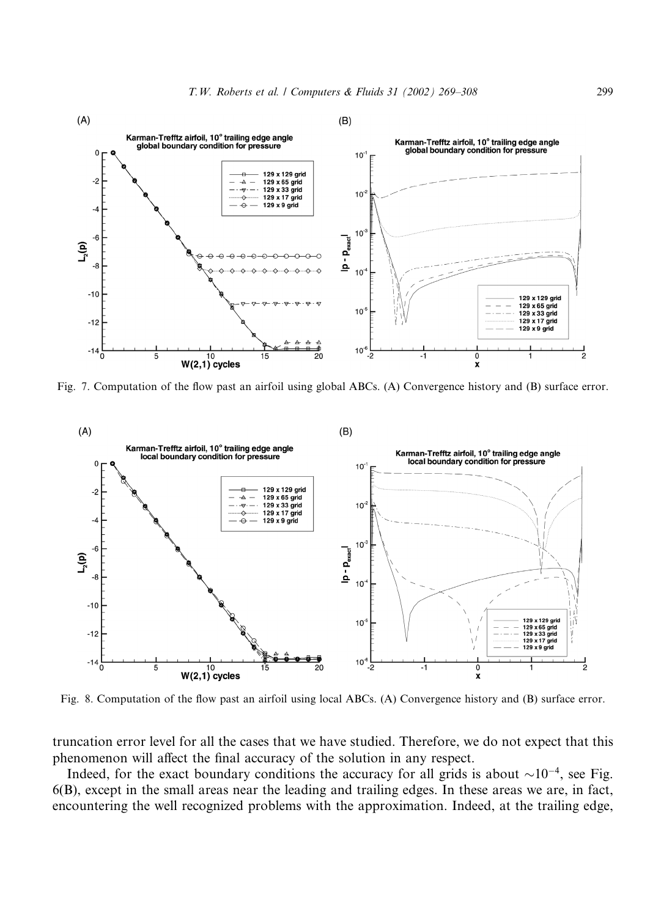

Fig. 7. Computation of the flow past an airfoil using global ABCs. (A) Convergence history and (B) surface error.



Fig. 8. Computation of the flow past an airfoil using local ABCs. (A) Convergence history and (B) surface error.

truncation error level for all the cases that we have studied. Therefore, we do not expect that this phenomenon will affect the final accuracy of the solution in any respect.

Indeed, for the exact boundary conditions the accuracy for all grids is about  $\sim 10^{-4}$ , see Fig. 6(B), except in the small areas near the leading and trailing edges. In these areas we are, in fact, encountering the well recognized problems with the approximation. Indeed, at the trailing edge,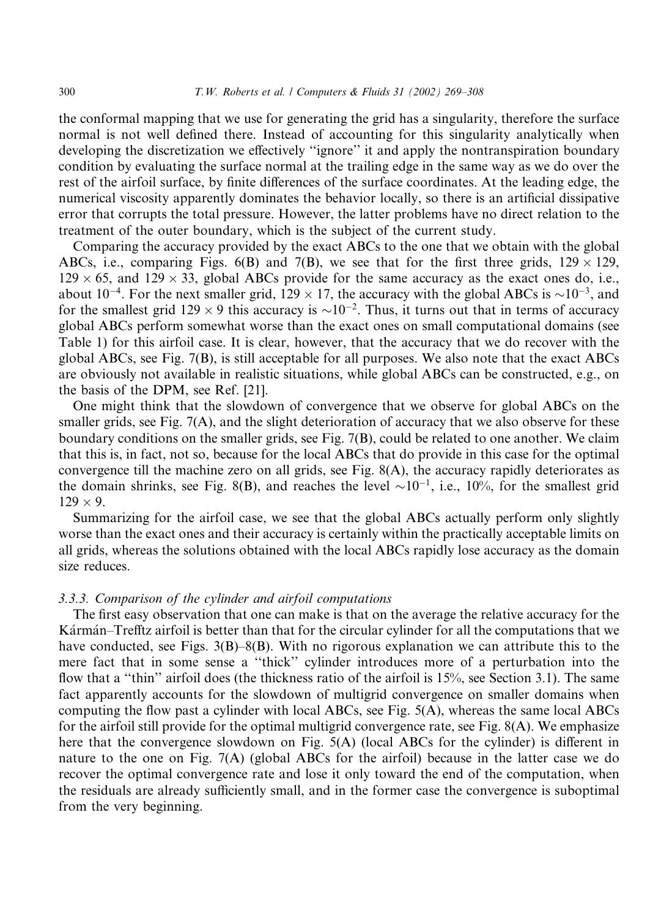the conformal mapping that we use for generating the grid has a singularity, therefore the surface normal is not well defined there. Instead of accounting for this singularity analytically when developing the discretization we effectively "ignore" it and apply the nontranspiration boundary condition by evaluating the surface normal at the trailing edge in the same way as we do over the rest of the airfoil surface, by finite differences of the surface coordinates. At the leading edge, the numerical viscosity apparently dominates the behavior locally, so there is an artificial dissipative error that corrupts the total pressure. However, the latter problems have no direct relation to the treatment of the outer boundary, which is the subject of the current study.

Comparing the accuracy provided by the exact ABCs to the one that we obtain with the global ABCs, i.e., comparing Figs. 6(B) and 7(B), we see that for the first three grids,  $129 \times 129$ ,  $129 \times 65$ , and  $129 \times 33$ , global ABCs provide for the same accuracy as the exact ones do, i.e., about  $10^{-4}$ . For the next smaller grid,  $129 \times 17$ , the accuracy with the global ABCs is  $\sim 10^{-3}$ , and for the smallest grid 129  $\times$  9 this accuracy is  $\sim$ 10<sup>-2</sup>. Thus, it turns out that in terms of accuracy global ABCs perform somewhat worse than the exact ones on small computational domains (see Table 1) for this airfoil case. It is clear, however, that the accuracy that we do recover with the global ABCs, see Fig. 7(B), is still acceptable for all purposes. We also note that the exact ABCs are obviously not available in realistic situations, while global ABCs can be constructed, e.g., on the basis of the DPM, see Ref. [21].

One might think that the slowdown of convergence that we observe for global ABCs on the smaller grids, see Fig. 7(A), and the slight deterioration of accuracy that we also observe for these boundary conditions on the smaller grids, see Fig.  $7(B)$ , could be related to one another. We claim that this is, in fact, not so, because for the local ABCs that do provide in this case for the optimal convergence till the machine zero on all grids, see Fig. 8(A), the accuracy rapidly deteriorates as the domain shrinks, see Fig. 8(B), and reaches the level  $\sim 10^{-1}$ , i.e., 10%, for the smallest grid  $129 \times 9$ .

Summarizing for the airfoil case, we see that the global ABCs actually perform only slightly worse than the exact ones and their accuracy is certainly within the practically acceptable limits on all grids, whereas the solutions obtained with the local ABCs rapidly lose accuracy as the domain size reduces.

# 3.3.3. Comparison of the cylinder and airfoil computations

The first easy observation that one can make is that on the average the relative accuracy for the Kármán–Trefftz airfoil is better than that for the circular cylinder for all the computations that we have conducted, see Figs.  $3(B)-8(B)$ . With no rigorous explanation we can attribute this to the mere fact that in some sense a "thick" cylinder introduces more of a perturbation into the flow that a "thin" airfoil does (the thickness ratio of the airfoil is 15%, see Section 3.1). The same fact apparently accounts for the slowdown of multigrid convergence on smaller domains when computing the flow past a cylinder with local ABCs, see Fig. 5(A), whereas the same local ABCs for the airfoil still provide for the optimal multigrid convergence rate, see Fig. 8(A). We emphasize here that the convergence slowdown on Fig. 5(A) (local ABCs for the cylinder) is different in nature to the one on Fig.  $7(A)$  (global ABCs for the airfoil) because in the latter case we do recover the optimal convergence rate and lose it only toward the end of the computation, when the residuals are already sufficiently small, and in the former case the convergence is suboptimal from the very beginning.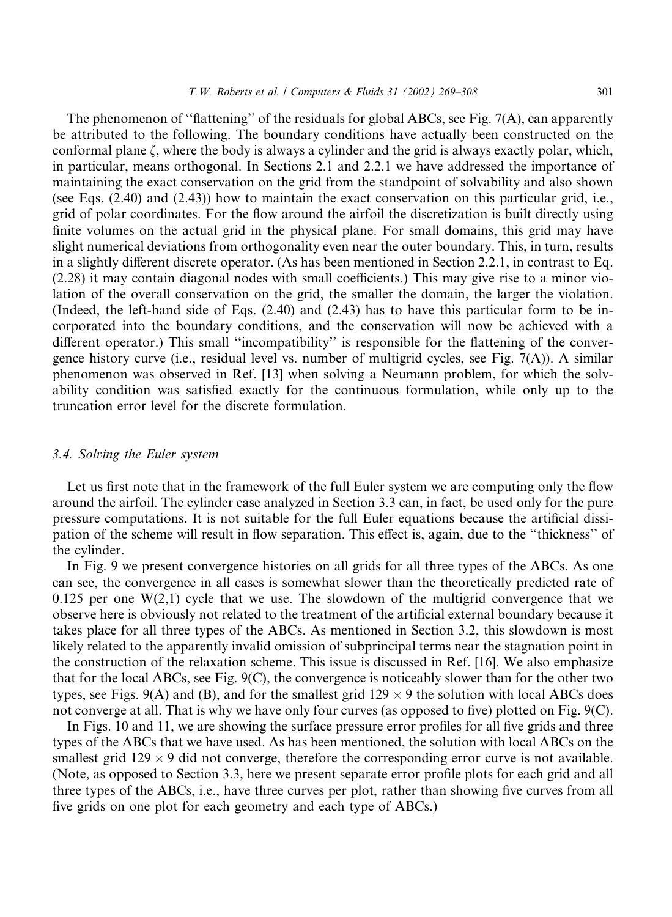The phenomenon of "flattening" of the residuals for global ABCs, see Fig.  $7(A)$ , can apparently be attributed to the following. The boundary conditions have actually been constructed on the conformal plane  $\zeta$ , where the body is always a cylinder and the grid is always exactly polar, which, in particular, means orthogonal. In Sections 2.1 and 2.2.1 we have addressed the importance of maintaining the exact conservation on the grid from the standpoint of solvability and also shown (see Eqs.  $(2.40)$  and  $(2.43)$ ) how to maintain the exact conservation on this particular grid, i.e., grid of polar coordinates. For the flow around the airfoil the discretization is built directly using finite volumes on the actual grid in the physical plane. For small domains, this grid may have slight numerical deviations from orthogonality even near the outer boundary. This, in turn, results in a slightly different discrete operator. (As has been mentioned in Section 2.2.1, in contrast to Eq. (2.28) it may contain diagonal nodes with small coefficients.) This may give rise to a minor violation of the overall conservation on the grid, the smaller the domain, the larger the violation. (Indeed, the left-hand side of Eqs.  $(2.40)$  and  $(2.43)$  has to have this particular form to be incorporated into the boundary conditions, and the conservation will now be achieved with a different operator.) This small "incompatibility" is responsible for the flattening of the convergence history curve (i.e., residual level vs. number of multigrid cycles, see Fig.  $7(A)$ ). A similar phenomenon was observed in Ref. [13] when solving a Neumann problem, for which the solvability condition was satisfied exactly for the continuous formulation, while only up to the truncation error level for the discrete formulation.

# 3.4. Solving the Euler system

Let us first note that in the framework of the full Euler system we are computing only the flow around the airfoil. The cylinder case analyzed in Section 3.3 can, in fact, be used only for the pure pressure computations. It is not suitable for the full Euler equations because the artificial dissipation of the scheme will result in flow separation. This effect is, again, due to the "thickness" of the cylinder.

In Fig. 9 we present convergence histories on all grids for all three types of the ABCs. As one can see, the convergence in all cases is somewhat slower than the theoretically predicted rate of  $0.125$  per one W(2,1) cycle that we use. The slowdown of the multigrid convergence that we observe here is obviously not related to the treatment of the artificial external boundary because it takes place for all three types of the ABCs. As mentioned in Section 3.2, this slowdown is most likely related to the apparently invalid omission of subprincipal terms near the stagnation point in the construction of the relaxation scheme. This issue is discussed in Ref. [16]. We also emphasize that for the local ABCs, see Fig.  $9(C)$ , the convergence is noticeably slower than for the other two types, see Figs. 9(A) and (B), and for the smallest grid  $129 \times 9$  the solution with local ABCs does not converge at all. That is why we have only four curves (as opposed to five) plotted on Fig.  $9(C)$ .

In Figs. 10 and 11, we are showing the surface pressure error profiles for all five grids and three types of the ABCs that we have used. As has been mentioned, the solution with local ABCs on the smallest grid  $129 \times 9$  did not converge, therefore the corresponding error curve is not available. (Note, as opposed to Section 3.3, here we present separate error profile plots for each grid and all three types of the ABCs, i.e., have three curves per plot, rather than showing five curves from all five grids on one plot for each geometry and each type of ABCs.)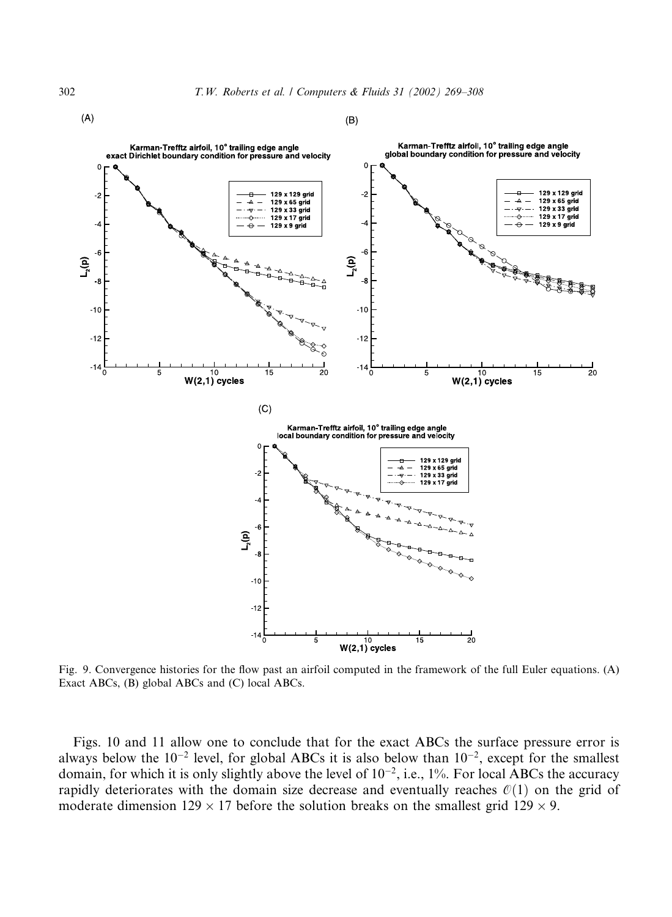

Fig. 9. Convergence histories for the flow past an airfoil computed in the framework of the full Euler equations. (A) Exact ABCs, (B) global ABCs and (C) local ABCs.

Figs. 10 and 11 allow one to conclude that for the exact ABCs the surface pressure error is always below the  $10^{-2}$  level, for global ABCs it is also below than  $10^{-2}$ , except for the smallest domain, for which it is only slightly above the level of  $10^{-2}$ , i.e.,  $1\%$ . For local ABCs the accuracy rapidly deteriorates with the domain size decrease and eventually reaches  $\mathcal{O}(1)$  on the grid of moderate dimension 129  $\times$  17 before the solution breaks on the smallest grid 129  $\times$  9.

302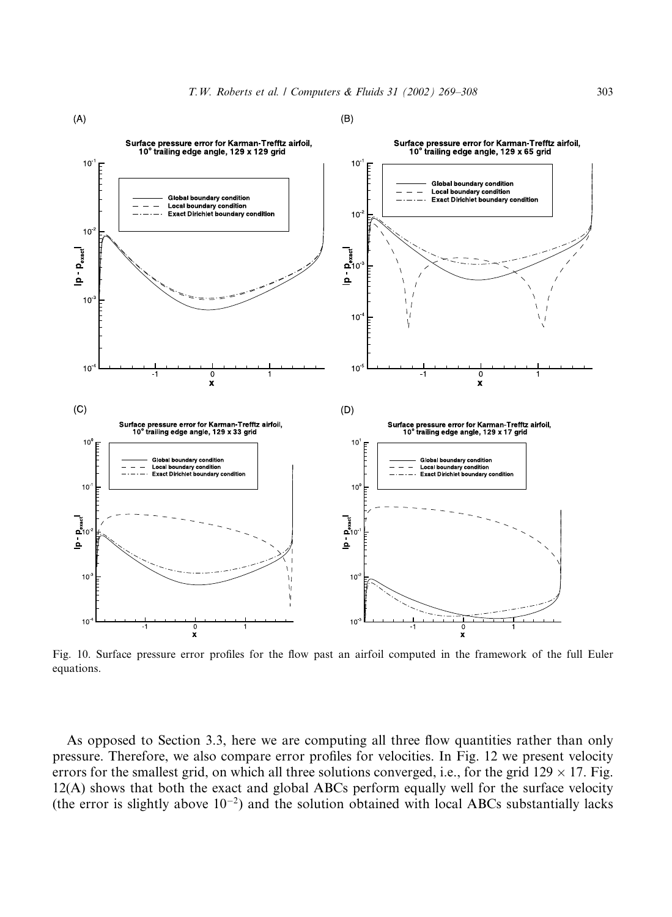

Fig. 10. Surface pressure error profiles for the flow past an airfoil computed in the framework of the full Euler equations.

As opposed to Section 3.3, here we are computing all three flow quantities rather than only pressure. Therefore, we also compare error profiles for velocities. In Fig. 12 we present velocity errors for the smallest grid, on which all three solutions converged, i.e., for the grid  $129 \times 17$ . Fig. 12(A) shows that both the exact and global ABCs perform equally well for the surface velocity (the error is slightly above  $10^{-2}$ ) and the solution obtained with local ABCs substantially lacks

 $(B)$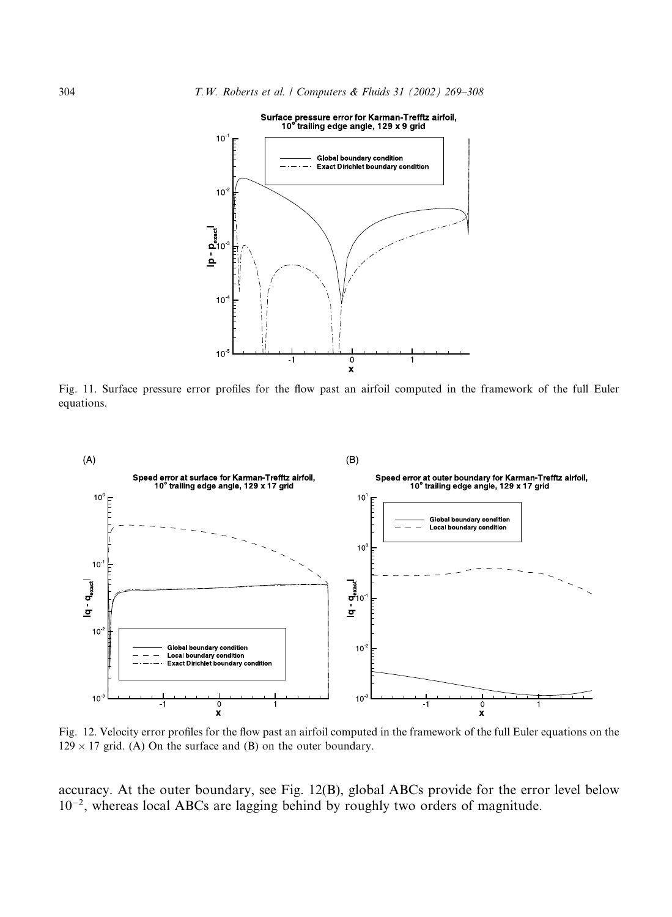

Fig. 11. Surface pressure error profiles for the flow past an airfoil computed in the framework of the full Euler equations.



Fig. 12. Velocity error profiles for the flow past an airfoil computed in the framework of the full Euler equations on the  $129 \times 17$  grid. (A) On the surface and (B) on the outer boundary.

accuracy. At the outer boundary, see Fig. 12(B), global ABCs provide for the error level below  $10^{-2}$ , whereas local ABCs are lagging behind by roughly two orders of magnitude.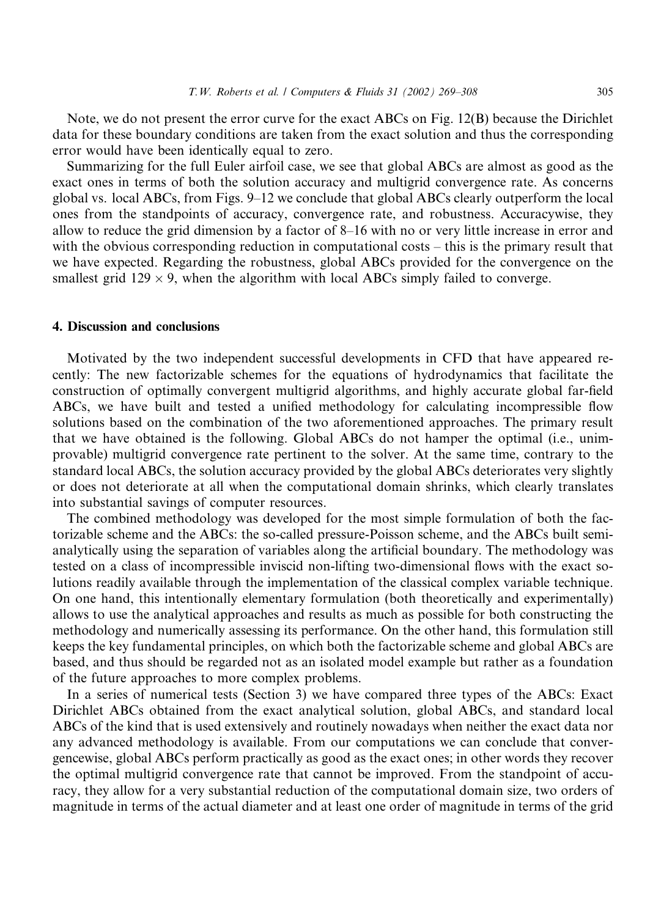Note, we do not present the error curve for the exact ABCs on Fig. 12(B) because the Dirichlet data for these boundary conditions are taken from the exact solution and thus the corresponding error would have been identically equal to zero.

Summarizing for the full Euler airfoil case, we see that global ABCs are almost as good as the exact ones in terms of both the solution accuracy and multigrid convergence rate. As concerns global vs. local ABCs, from Figs. 9–12 we conclude that global ABCs clearly outperform the local ones from the standpoints of accuracy, convergence rate, and robustness. Accuracywise, they allow to reduce the grid dimension by a factor of 8–16 with no or very little increase in error and with the obvious corresponding reduction in computational costs – this is the primary result that we have expected. Regarding the robustness, global ABCs provided for the convergence on the smallest grid  $129 \times 9$ , when the algorithm with local ABCs simply failed to converge.

### 4. Discussion and conclusions

Motivated by the two independent successful developments in CFD that have appeared recently: The new factorizable schemes for the equations of hydrodynamics that facilitate the construction of optimally convergent multigrid algorithms, and highly accurate global far-field ABCs, we have built and tested a unified methodology for calculating incompressible flow solutions based on the combination of the two aforementioned approaches. The primary result that we have obtained is the following. Global ABCs do not hamper the optimal (i.e., unimprovable) multigrid convergence rate pertinent to the solver. At the same time, contrary to the standard local ABCs, the solution accuracy provided by the global ABCs deteriorates very slightly or does not deteriorate at all when the computational domain shrinks, which clearly translates into substantial savings of computer resources.

The combined methodology was developed for the most simple formulation of both the factorizable scheme and the ABCs: the so-called pressure-Poisson scheme, and the ABCs built semianalytically using the separation of variables along the artificial boundary. The methodology was tested on a class of incompressible inviscid non-lifting two-dimensional flows with the exact solutions readily available through the implementation of the classical complex variable technique. On one hand, this intentionally elementary formulation (both theoretically and experimentally) allows to use the analytical approaches and results as much as possible for both constructing the methodology and numerically assessing its performance. On the other hand, this formulation still keeps the key fundamental principles, on which both the factorizable scheme and global ABCs are based, and thus should be regarded not as an isolated model example but rather as a foundation of the future approaches to more complex problems.

In a series of numerical tests (Section 3) we have compared three types of the ABCs: Exact Dirichlet ABCs obtained from the exact analytical solution, global ABCs, and standard local ABCs of the kind that is used extensively and routinely nowadays when neither the exact data nor any advanced methodology is available. From our computations we can conclude that convergencewise, global ABCs perform practically as good as the exact ones; in other words they recover the optimal multigrid convergence rate that cannot be improved. From the standpoint of accuracy, they allow for a very substantial reduction of the computational domain size, two orders of magnitude in terms of the actual diameter and at least one order of magnitude in terms of the grid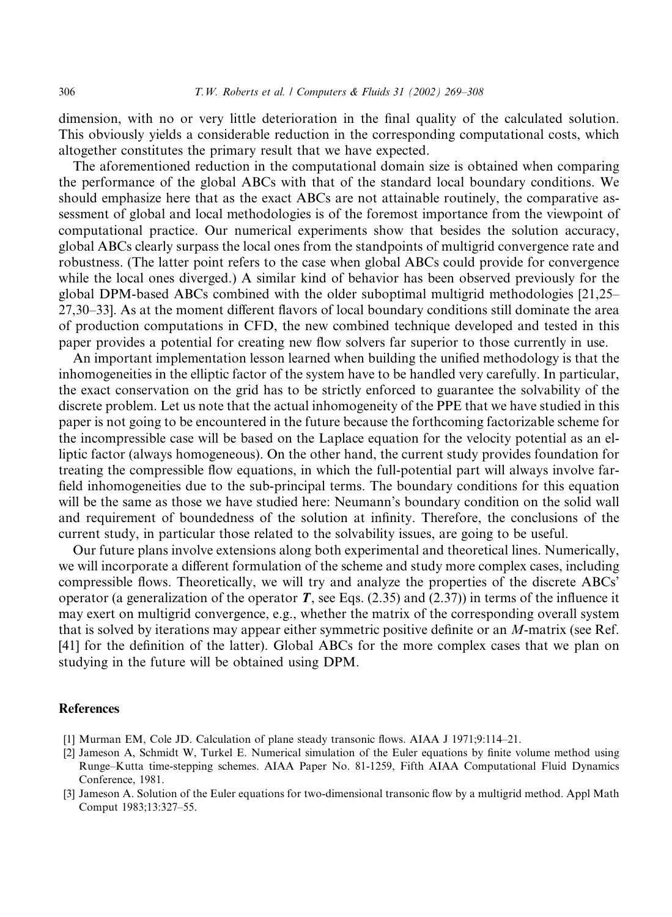dimension, with no or very little deterioration in the final quality of the calculated solution. This obviously yields a considerable reduction in the corresponding computational costs, which altogether constitutes the primary result that we have expected.

The aforementioned reduction in the computational domain size is obtained when comparing the performance of the global ABCs with that of the standard local boundary conditions. We should emphasize here that as the exact ABCs are not attainable routinely, the comparative assessment of global and local methodologies is of the foremost importance from the viewpoint of computational practice. Our numerical experiments show that besides the solution accuracy, global ABCs clearly surpass the local ones from the standpoints of multigrid convergence rate and robustness. (The latter point refers to the case when global ABCs could provide for convergence while the local ones diverged.) A similar kind of behavior has been observed previously for the global DPM-based ABCs combined with the older suboptimal multigrid methodologies  $[21,25-$ 27,30–33]. As at the moment different flavors of local boundary conditions still dominate the area of production computations in CFD, the new combined technique developed and tested in this paper provides a potential for creating new flow solvers far superior to those currently in use.

An important implementation lesson learned when building the unified methodology is that the inhomogeneities in the elliptic factor of the system have to be handled very carefully. In particular, the exact conservation on the grid has to be strictly enforced to guarantee the solvability of the discrete problem. Let us note that the actual inhomogeneity of the PPE that we have studied in this paper is not going to be encountered in the future because the forthcoming factorizable scheme for the incompressible case will be based on the Laplace equation for the velocity potential as an elliptic factor (always homogeneous). On the other hand, the current study provides foundation for treating the compressible flow equations, in which the full-potential part will always involve farfield inhomogeneities due to the sub-principal terms. The boundary conditions for this equation will be the same as those we have studied here: Neumann's boundary condition on the solid wall and requirement of boundedness of the solution at infinity. Therefore, the conclusions of the current study, in particular those related to the solvability issues, are going to be useful.

Our future plans involve extensions along both experimental and theoretical lines. Numerically, we will incorporate a different formulation of the scheme and study more complex cases, including compressible flows. Theoretically, we will try and analyze the properties of the discrete ABCs' operator (a generalization of the operator  $T$ , see Eqs. (2.35) and (2.37)) in terms of the influence it may exert on multigrid convergence, e.g., whether the matrix of the corresponding overall system that is solved by iterations may appear either symmetric positive definite or an M-matrix (see Ref. [41] for the definition of the latter). Global ABCs for the more complex cases that we plan on studying in the future will be obtained using DPM.

# **References**

- [1] Murman EM, Cole JD. Calculation of plane steady transonic flows. AIAA J 1971;9:114–21.
- [2] Jameson A, Schmidt W, Turkel E. Numerical simulation of the Euler equations by finite volume method using Runge-Kutta time-stepping schemes. AIAA Paper No. 81-1259, Fifth AIAA Computational Fluid Dynamics Conference, 1981.
- [3] Jameson A. Solution of the Euler equations for two-dimensional transonic flow by a multigrid method. Appl Math Comput 1983;13:327-55.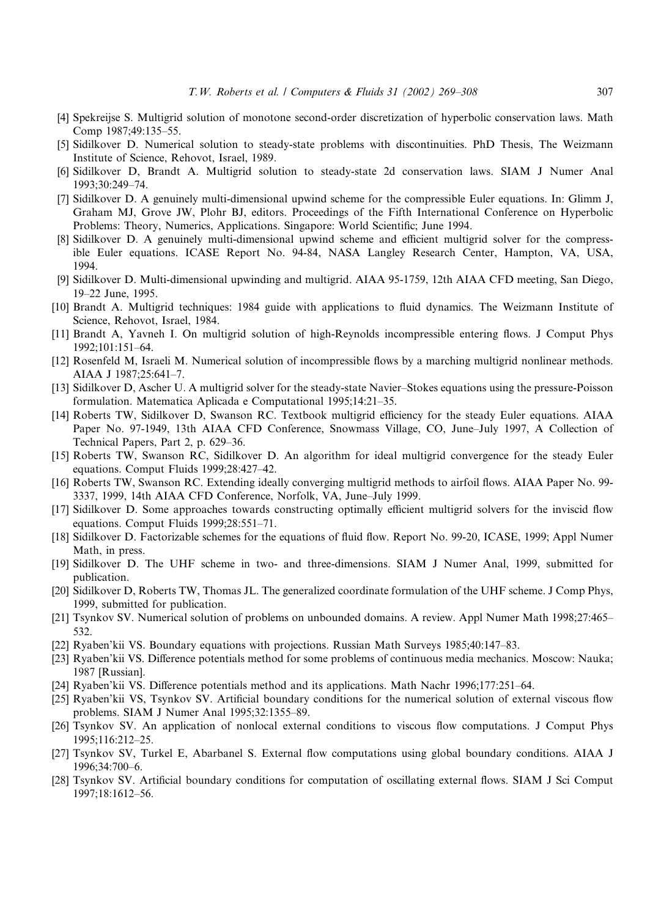- [4] Spekreijse S. Multigrid solution of monotone second-order discretization of hyperbolic conservation laws. Math Comp 1987;49:135-55.
- [5] Sidilkover D. Numerical solution to steady-state problems with discontinuities. PhD Thesis, The Weizmann Institute of Science, Rehovot, Israel, 1989.
- [6] Sidilkover D, Brandt A. Multigrid solution to steady-state 2d conservation laws. SIAM J Numer Anal 1993;30:249-74.
- [7] Sidilkover D. A genuinely multi-dimensional upwind scheme for the compressible Euler equations. In: Glimm J, Graham MJ, Grove JW, Plohr BJ, editors. Proceedings of the Fifth International Conference on Hyperbolic Problems: Theory, Numerics, Applications. Singapore: World Scientific; June 1994.
- [8] Sidilkover D. A genuinely multi-dimensional upwind scheme and efficient multigrid solver for the compressible Euler equations. ICASE Report No. 94-84, NASA Langley Research Center, Hampton, VA, USA, 1994.
- [9] Sidilkover D. Multi-dimensional upwinding and multigrid. AIAA 95-1759, 12th AIAA CFD meeting, San Diego, 19-22 June, 1995.
- [10] Brandt A. Multigrid techniques: 1984 guide with applications to fluid dynamics. The Weizmann Institute of Science, Rehovot, Israel, 1984.
- [11] Brandt A, Yavneh I. On multigrid solution of high-Reynolds incompressible entering flows. J Comput Phys 1992;101:151-64.
- [12] Rosenfeld M, Israeli M. Numerical solution of incompressible flows by a marching multigrid nonlinear methods. AIAA J 1987;25:641-7.
- [13] Sidilkover D. Ascher U. A multigrid solver for the steady-state Navier-Stokes equations using the pressure-Poisson formulation. Matematica Aplicada e Computational 1995;14:21-35.
- [14] Roberts TW, Sidilkover D, Swanson RC. Textbook multigrid efficiency for the steady Euler equations. AIAA Paper No. 97-1949, 13th AIAA CFD Conference, Snowmass Village, CO, June-July 1997, A Collection of Technical Papers, Part 2, p. 629–36.
- [15] Roberts TW, Swanson RC, Sidilkover D. An algorithm for ideal multigrid convergence for the steady Euler equations. Comput Fluids 1999;28:427-42.
- [16] Roberts TW, Swanson RC. Extending ideally converging multigrid methods to airfoil flows. AIAA Paper No. 99-3337, 1999, 14th AIAA CFD Conference, Norfolk, VA, June-July 1999.
- [17] Sidilkover D. Some approaches towards constructing optimally efficient multigrid solvers for the inviscid flow equations. Comput Fluids 1999;28:551-71.
- [18] Sidilkover D. Factorizable schemes for the equations of fluid flow. Report No. 99-20, ICASE, 1999; Appl Numer Math, in press.
- [19] Sidilkover D. The UHF scheme in two- and three-dimensions. SIAM J Numer Anal, 1999, submitted for publication.
- [20] Sidilkover D, Roberts TW, Thomas JL. The generalized coordinate formulation of the UHF scheme. J Comp Phys, 1999, submitted for publication.
- [21] Tsynkov SV. Numerical solution of problems on unbounded domains. A review. Appl Numer Math 1998;27:465– 532.
- [22] Ryaben'kii VS. Boundary equations with projections. Russian Math Surveys 1985;40:147–83.
- [23] Ryaben'kii VS. Difference potentials method for some problems of continuous media mechanics. Moscow: Nauka; 1987 [Russian].
- [24] Ryaben'kii VS. Difference potentials method and its applications. Math Nachr 1996;177:251-64.
- [25] Ryaben'kii VS, Tsynkov SV. Artificial boundary conditions for the numerical solution of external viscous flow problems. SIAM J Numer Anal 1995;32:1355-89.
- [26] Tsynkov SV. An application of nonlocal external conditions to viscous flow computations. J Comput Phys 1995;116:212-25.
- [27] Tsynkov SV, Turkel E, Abarbanel S. External flow computations using global boundary conditions. AIAA J 1996;34:700-6.
- [28] Tsynkov SV. Artificial boundary conditions for computation of oscillating external flows. SIAM J Sci Comput 1997:18:1612-56.